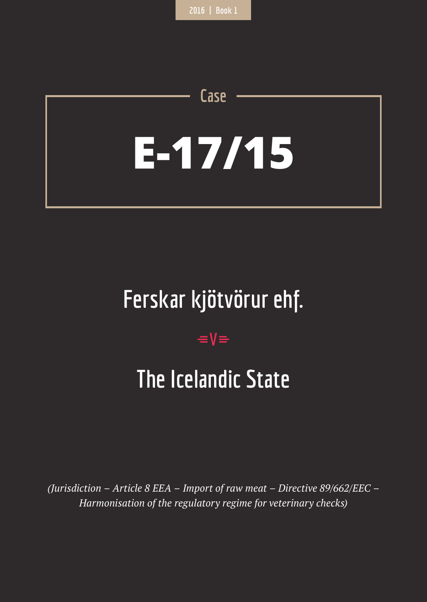# **E-17/15**

**Case**

# **Ferskar kjötvörur ehf.**

## $=$ **V** $=$

# **The Icelandic State**

*(Jurisdiction – Article 8 EEA – Import of raw meat – Directive 89/662/EEC – Harmonisation of the regulatory regime for veterinary checks)*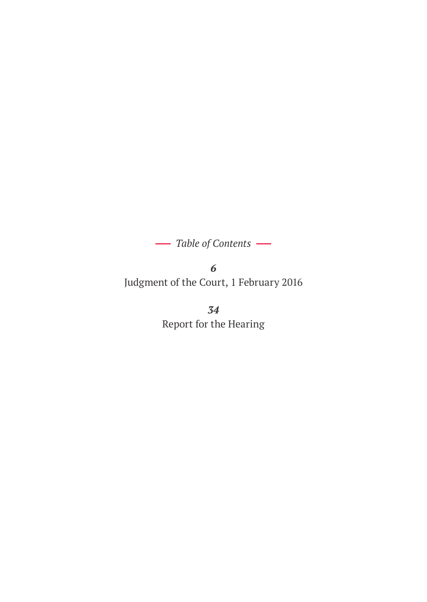*Table of Contents*

*6* Judgment of the Court, 1 February 2016

> *34* Report for the Hearing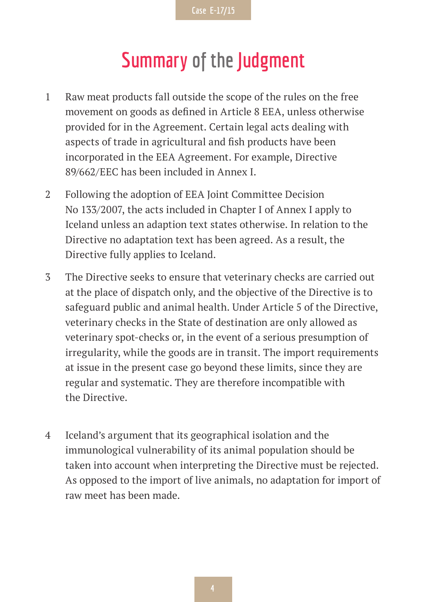## **Summary of the Judgment**

- 1 Raw meat products fall outside the scope of the rules on the free movement on goods as defined in Article 8 EEA, unless otherwise provided for in the Agreement. Certain legal acts dealing with aspects of trade in agricultural and fish products have been incorporated in the EEA Agreement. For example, Directive 89/662/EEC has been included in Annex I.
- 2 Following the adoption of EEA Joint Committee Decision No 133/2007, the acts included in Chapter I of Annex I apply to Iceland unless an adaption text states otherwise. In relation to the Directive no adaptation text has been agreed. As a result, the Directive fully applies to Iceland.
- 3 The Directive seeks to ensure that veterinary checks are carried out at the place of dispatch only, and the objective of the Directive is to safeguard public and animal health. Under Article 5 of the Directive, veterinary checks in the State of destination are only allowed as veterinary spot-checks or, in the event of a serious presumption of irregularity, while the goods are in transit. The import requirements at issue in the present case go beyond these limits, since they are regular and systematic. They are therefore incompatible with the Directive.
- 4 Iceland's argument that its geographical isolation and the immunological vulnerability of its animal population should be taken into account when interpreting the Directive must be rejected. As opposed to the import of live animals, no adaptation for import of raw meet has been made.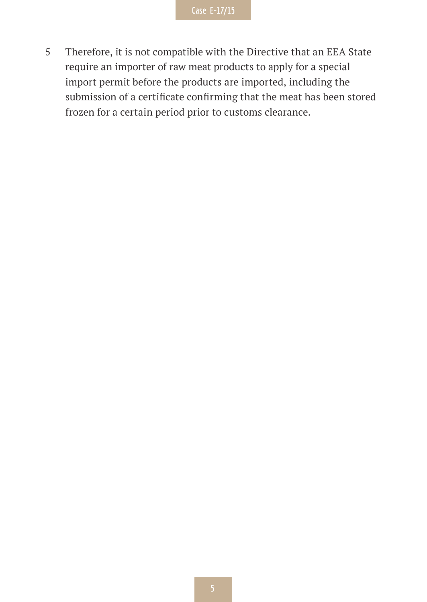5 Therefore, it is not compatible with the Directive that an EEA State require an importer of raw meat products to apply for a special import permit before the products are imported, including the submission of a certificate confirming that the meat has been stored frozen for a certain period prior to customs clearance.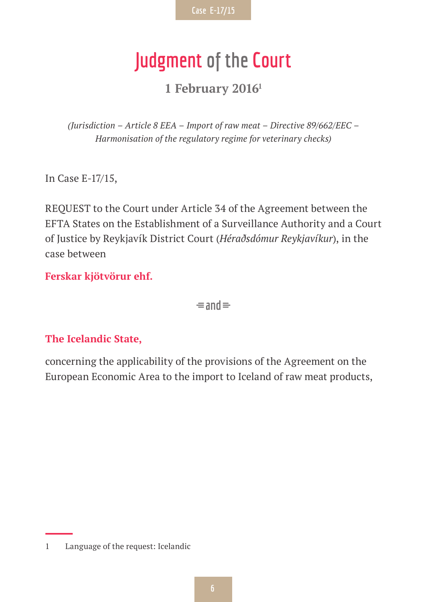# **Judgment of the Court**

**1 February 20161**

*(Jurisdiction – Article 8 EEA – Import of raw meat – Directive 89/662/EEC – Harmonisation of the regulatory regime for veterinary checks)*

In Case E-17/15,

REQUEST to the Court under Article 34 of the Agreement between the EFTA States on the Establishment of a Surveillance Authority and a Court of Justice by Reykjavík District Court (*Héraðsdómur Reykjavíkur*), in the case between

**Ferskar kjötvörur ehf.**

 $\equiv$ and $\equiv$ 

#### **The Icelandic State,**

concerning the applicability of the provisions of the Agreement on the European Economic Area to the import to Iceland of raw meat products,

<sup>1</sup> Language of the request: Icelandic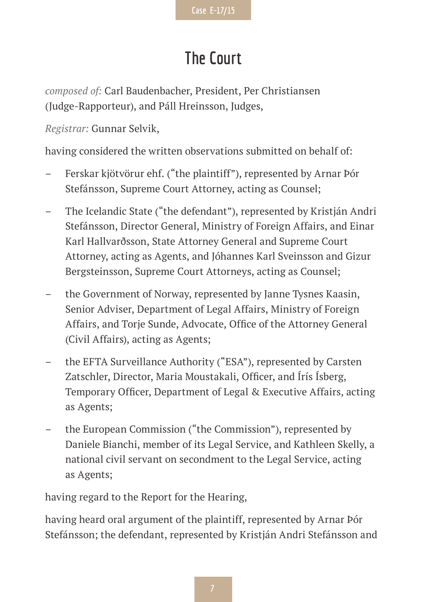## **The Court**

*composed of:* Carl Baudenbacher, President, Per Christiansen (Judge-Rapporteur), and Páll Hreinsson, Judges,

*Registrar:* Gunnar Selvik,

having considered the written observations submitted on behalf of:

- Ferskar kjötvörur ehf. ("the plaintiff"), represented by Arnar Þór Stefánsson, Supreme Court Attorney, acting as Counsel;
- The Icelandic State ("the defendant"), represented by Kristján Andri Stefánsson, Director General, Ministry of Foreign Affairs, and Einar Karl Hallvarðsson, State Attorney General and Supreme Court Attorney, acting as Agents, and Jóhannes Karl Sveinsson and Gizur Bergsteinsson, Supreme Court Attorneys, acting as Counsel;
- the Government of Norway, represented by Janne Tysnes Kaasin, Senior Adviser, Department of Legal Affairs, Ministry of Foreign Affairs, and Torje Sunde, Advocate, Office of the Attorney General (Civil Affairs), acting as Agents;
- the EFTA Surveillance Authority ("ESA"), represented by Carsten Zatschler, Director, Maria Moustakali, Officer, and Írís Ísberg, Temporary Officer, Department of Legal & Executive Affairs, acting as Agents;
- the European Commission ("the Commission"), represented by Daniele Bianchi, member of its Legal Service, and Kathleen Skelly, a national civil servant on secondment to the Legal Service, acting as Agents;

having regard to the Report for the Hearing,

having heard oral argument of the plaintiff, represented by Arnar Þór Stefánsson; the defendant, represented by Kristján Andri Stefánsson and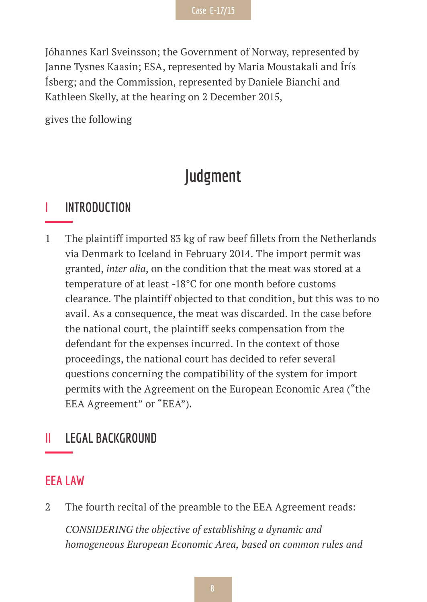Jóhannes Karl Sveinsson; the Government of Norway, represented by Janne Tysnes Kaasin; ESA, represented by Maria Moustakali and Írís Ísberg; and the Commission, represented by Daniele Bianchi and Kathleen Skelly, at the hearing on 2 December 2015,

gives the following

### **Judgment**

#### **I INTRODUCTION**

1 The plaintiff imported 83 kg of raw beef fillets from the Netherlands via Denmark to Iceland in February 2014. The import permit was granted, *inter alia*, on the condition that the meat was stored at a temperature of at least -18°C for one month before customs clearance. The plaintiff objected to that condition, but this was to no avail. As a consequence, the meat was discarded. In the case before the national court, the plaintiff seeks compensation from the defendant for the expenses incurred. In the context of those proceedings, the national court has decided to refer several questions concerning the compatibility of the system for import permits with the Agreement on the European Economic Area ("the EEA Agreement" or "EEA").

#### **II LEGAL BACKGROUND**

#### **EEA LAW**

2 The fourth recital of the preamble to the EEA Agreement reads:

*CONSIDERING the objective of establishing a dynamic and homogeneous European Economic Area, based on common rules and*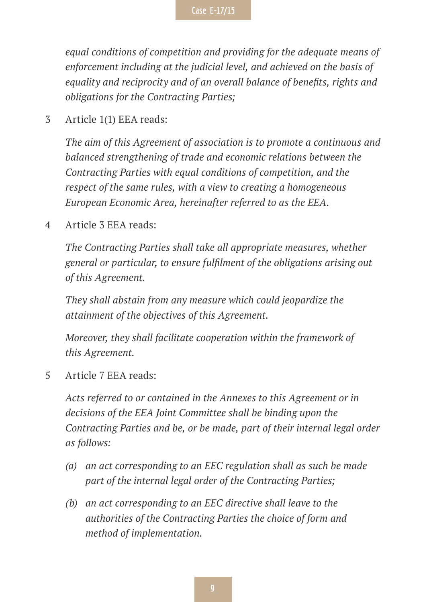*equal conditions of competition and providing for the adequate means of enforcement including at the judicial level, and achieved on the basis of equality and reciprocity and of an overall balance of benefits, rights and obligations for the Contracting Parties;*

3 Article 1(1) EEA reads:

*The aim of this Agreement of association is to promote a continuous and balanced strengthening of trade and economic relations between the Contracting Parties with equal conditions of competition, and the respect of the same rules, with a view to creating a homogeneous European Economic Area, hereinafter referred to as the EEA.*

4 Article 3 EEA reads:

*The Contracting Parties shall take all appropriate measures, whether general or particular, to ensure fulfilment of the obligations arising out of this Agreement.*

*They shall abstain from any measure which could jeopardize the attainment of the objectives of this Agreement.*

*Moreover, they shall facilitate cooperation within the framework of this Agreement.*

5 Article 7 EEA reads:

*Acts referred to or contained in the Annexes to this Agreement or in decisions of the EEA Joint Committee shall be binding upon the Contracting Parties and be, or be made, part of their internal legal order as follows:*

- *(a) an act corresponding to an EEC regulation shall as such be made part of the internal legal order of the Contracting Parties;*
- *(b) an act corresponding to an EEC directive shall leave to the authorities of the Contracting Parties the choice of form and method of implementation.*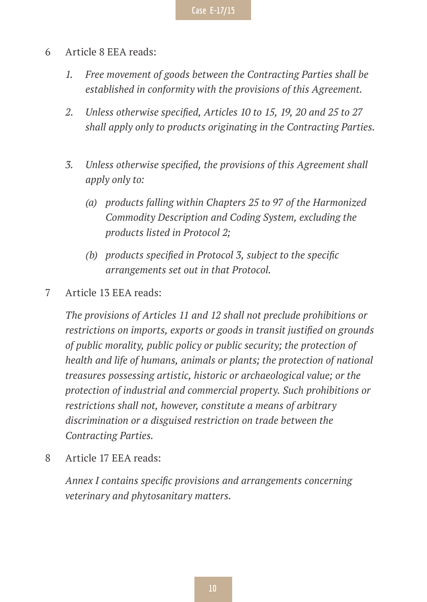- 6 Article 8 EEA reads:
	- *1. Free movement of goods between the Contracting Parties shall be established in conformity with the provisions of this Agreement.*
	- *2. Unless otherwise specified, Articles 10 to 15, 19, 20 and 25 to 27 shall apply only to products originating in the Contracting Parties.*
	- *3. Unless otherwise specified, the provisions of this Agreement shall apply only to:*
		- *(a) products falling within Chapters 25 to 97 of the Harmonized Commodity Description and Coding System, excluding the products listed in Protocol 2;*
		- *(b) products specified in Protocol 3, subject to the specific arrangements set out in that Protocol.*
- 7 Article 13 EEA reads:

*The provisions of Articles 11 and 12 shall not preclude prohibitions or restrictions on imports, exports or goods in transit justified on grounds of public morality, public policy or public security; the protection of health and life of humans, animals or plants; the protection of national treasures possessing artistic, historic or archaeological value; or the protection of industrial and commercial property. Such prohibitions or restrictions shall not, however, constitute a means of arbitrary discrimination or a disguised restriction on trade between the Contracting Parties.*

8 Article 17 EEA reads:

*Annex I contains specific provisions and arrangements concerning veterinary and phytosanitary matters.*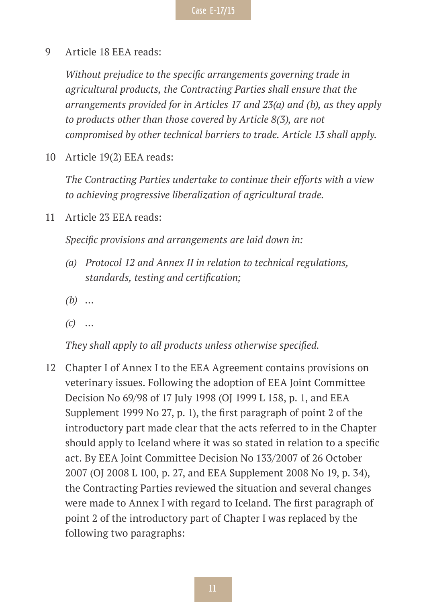9 Article 18 EEA reads:

*Without prejudice to the specific arrangements governing trade in agricultural products, the Contracting Parties shall ensure that the arrangements provided for in Articles 17 and 23(a) and (b), as they apply to products other than those covered by Article 8(3), are not compromised by other technical barriers to trade. Article 13 shall apply.*

10 Article 19(2) EEA reads:

*The Contracting Parties undertake to continue their efforts with a view to achieving progressive liberalization of agricultural trade.*

11 Article 23 EEA reads:

*Specific provisions and arrangements are laid down in:*

- *(a) Protocol 12 and Annex II in relation to technical regulations, standards, testing and certification;*
- *(b) …*
- *(c) …*

*They shall apply to all products unless otherwise specified.*

12 Chapter I of Annex I to the EEA Agreement contains provisions on veterinary issues. Following the adoption of EEA Joint Committee Decision No 69/98 of 17 July 1998 (OJ 1999 L 158, p. 1, and EEA Supplement 1999 No 27, p. 1), the first paragraph of point 2 of the introductory part made clear that the acts referred to in the Chapter should apply to Iceland where it was so stated in relation to a specific act. By EEA Joint Committee Decision No 133/2007 of 26 October 2007 (OJ 2008 L 100, p. 27, and EEA Supplement 2008 No 19, p. 34), the Contracting Parties reviewed the situation and several changes were made to Annex I with regard to Iceland. The first paragraph of point 2 of the introductory part of Chapter I was replaced by the following two paragraphs: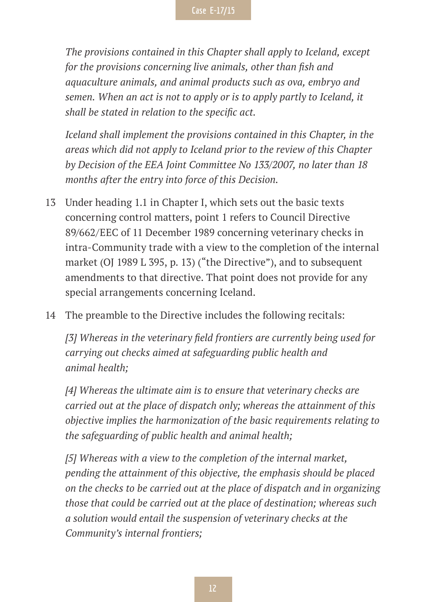*The provisions contained in this Chapter shall apply to Iceland, except for the provisions concerning live animals, other than fish and aquaculture animals, and animal products such as ova, embryo and semen. When an act is not to apply or is to apply partly to Iceland, it shall be stated in relation to the specific act.*

*Iceland shall implement the provisions contained in this Chapter, in the areas which did not apply to Iceland prior to the review of this Chapter by Decision of the EEA Joint Committee No 133/2007, no later than 18 months after the entry into force of this Decision.*

- 13 Under heading 1.1 in Chapter I, which sets out the basic texts concerning control matters, point 1 refers to Council Directive 89/662/EEC of 11 December 1989 concerning veterinary checks in intra-Community trade with a view to the completion of the internal market (OJ 1989 L 395, p. 13) ("the Directive"), and to subsequent amendments to that directive. That point does not provide for any special arrangements concerning Iceland.
- 14 The preamble to the Directive includes the following recitals:

*[3] Whereas in the veterinary field frontiers are currently being used for carrying out checks aimed at safeguarding public health and animal health;*

*[4] Whereas the ultimate aim is to ensure that veterinary checks are carried out at the place of dispatch only; whereas the attainment of this objective implies the harmonization of the basic requirements relating to the safeguarding of public health and animal health;*

*[5] Whereas with a view to the completion of the internal market, pending the attainment of this objective, the emphasis should be placed on the checks to be carried out at the place of dispatch and in organizing those that could be carried out at the place of destination; whereas such a solution would entail the suspension of veterinary checks at the Community's internal frontiers;*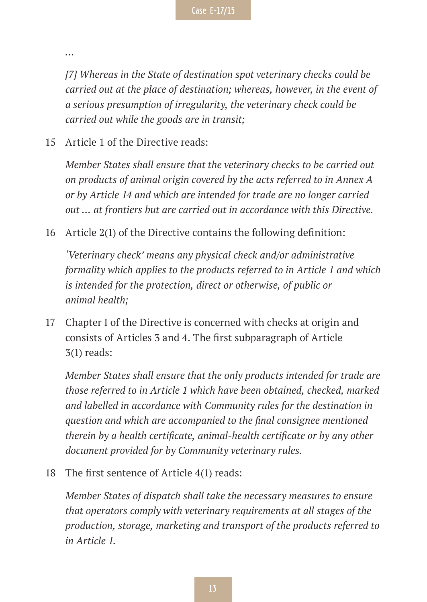*…*

*[7] Whereas in the State of destination spot veterinary checks could be carried out at the place of destination; whereas, however, in the event of a serious presumption of irregularity, the veterinary check could be carried out while the goods are in transit;*

15 Article 1 of the Directive reads:

*Member States shall ensure that the veterinary checks to be carried out on products of animal origin covered by the acts referred to in Annex A or by Article 14 and which are intended for trade are no longer carried out … at frontiers but are carried out in accordance with this Directive.*

16 Article 2(1) of the Directive contains the following definition:

*'Veterinary check' means any physical check and/or administrative formality which applies to the products referred to in Article 1 and which is intended for the protection, direct or otherwise, of public or animal health;*

17 Chapter I of the Directive is concerned with checks at origin and consists of Articles 3 and 4. The first subparagraph of Article 3(1) reads:

*Member States shall ensure that the only products intended for trade are those referred to in Article 1 which have been obtained, checked, marked and labelled in accordance with Community rules for the destination in question and which are accompanied to the final consignee mentioned therein by a health certificate, animal-health certificate or by any other document provided for by Community veterinary rules.*

18 The first sentence of Article 4(1) reads:

*Member States of dispatch shall take the necessary measures to ensure that operators comply with veterinary requirements at all stages of the production, storage, marketing and transport of the products referred to in Article 1.*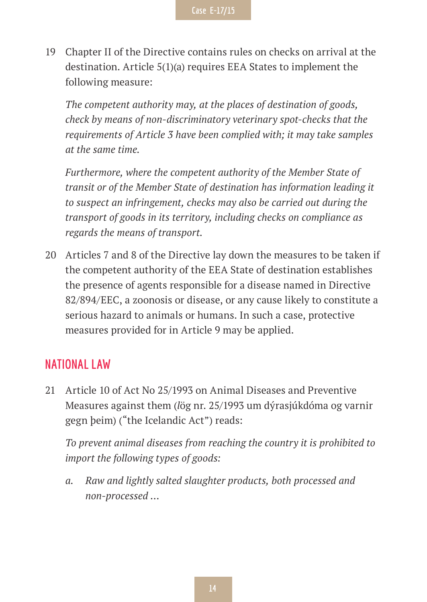19 Chapter II of the Directive contains rules on checks on arrival at the destination. Article 5(1)(a) requires EEA States to implement the following measure:

*The competent authority may, at the places of destination of goods, check by means of non-discriminatory veterinary spot-checks that the requirements of Article 3 have been complied with; it may take samples at the same time.*

*Furthermore, where the competent authority of the Member State of transit or of the Member State of destination has information leading it to suspect an infringement, checks may also be carried out during the transport of goods in its territory, including checks on compliance as regards the means of transport.*

20 Articles 7 and 8 of the Directive lay down the measures to be taken if the competent authority of the EEA State of destination establishes the presence of agents responsible for a disease named in Directive 82/894/EEC, a zoonosis or disease, or any cause likely to constitute a serious hazard to animals or humans. In such a case, protective measures provided for in Article 9 may be applied.

#### **NATIONAL LAW**

21 Article 10 of Act No 25/1993 on Animal Diseases and Preventive Measures against them (*l*ög nr. 25/1993 um dýrasjúkdóma og varnir gegn þeim) ("the Icelandic Act") reads:

*To prevent animal diseases from reaching the country it is prohibited to import the following types of goods:*

*a. Raw and lightly salted slaughter products, both processed and non-processed …*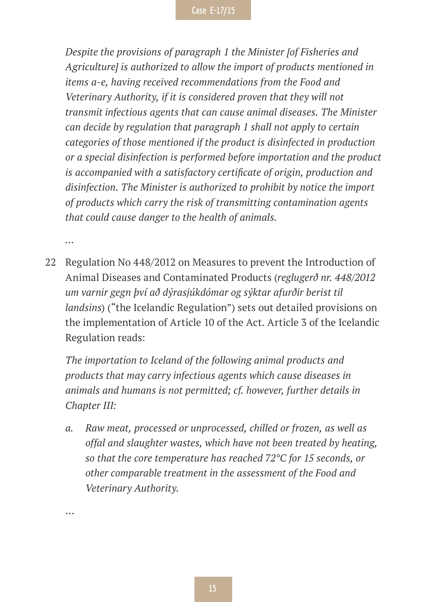*Despite the provisions of paragraph 1 the Minister [of Fisheries and Agriculture] is authorized to allow the import of products mentioned in items a-e, having received recommendations from the Food and Veterinary Authority, if it is considered proven that they will not transmit infectious agents that can cause animal diseases. The Minister can decide by regulation that paragraph 1 shall not apply to certain categories of those mentioned if the product is disinfected in production or a special disinfection is performed before importation and the product is accompanied with a satisfactory certificate of origin, production and disinfection. The Minister is authorized to prohibit by notice the import of products which carry the risk of transmitting contamination agents that could cause danger to the health of animals.*

*…*

22 Regulation No 448/2012 on Measures to prevent the Introduction of Animal Diseases and Contaminated Products (*reglugerð nr. 448/2012 um varnir gegn því að dýrasjúkdómar og sýktar afurðir berist til landsins*) ("the Icelandic Regulation") sets out detailed provisions on the implementation of Article 10 of the Act. Article 3 of the Icelandic Regulation reads:

*The importation to Iceland of the following animal products and products that may carry infectious agents which cause diseases in animals and humans is not permitted; cf. however, further details in Chapter III:*

*a. Raw meat, processed or unprocessed, chilled or frozen, as well as offal and slaughter wastes, which have not been treated by heating, so that the core temperature has reached 72°C for 15 seconds, or other comparable treatment in the assessment of the Food and Veterinary Authority.*

…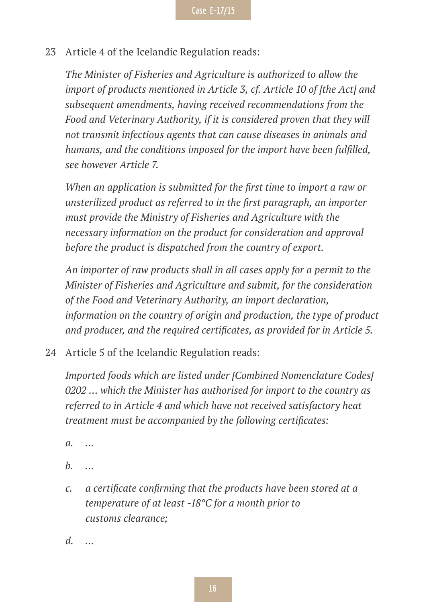23 Article 4 of the Icelandic Regulation reads:

*The Minister of Fisheries and Agriculture is authorized to allow the import of products mentioned in Article 3, cf. Article 10 of [the Act] and subsequent amendments, having received recommendations from the Food and Veterinary Authority, if it is considered proven that they will not transmit infectious agents that can cause diseases in animals and humans, and the conditions imposed for the import have been fulfilled, see however Article 7.*

*When an application is submitted for the first time to import a raw or unsterilized product as referred to in the first paragraph, an importer must provide the Ministry of Fisheries and Agriculture with the necessary information on the product for consideration and approval before the product is dispatched from the country of export.*

*An importer of raw products shall in all cases apply for a permit to the Minister of Fisheries and Agriculture and submit, for the consideration of the Food and Veterinary Authority, an import declaration, information on the country of origin and production, the type of product and producer, and the required certificates, as provided for in Article 5.*

24 Article 5 of the Icelandic Regulation reads:

*Imported foods which are listed under [Combined Nomenclature Codes] 0202 … which the Minister has authorised for import to the country as referred to in Article 4 and which have not received satisfactory heat treatment must be accompanied by the following certificates:*

- *a. …*
- *b. …*
- *c. a certificate confirming that the products have been stored at a temperature of at least -18°C for a month prior to customs clearance;*
- *d. …*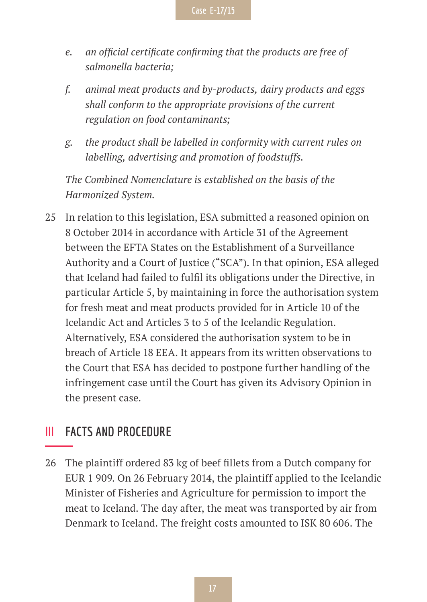- *e. an official certificate confirming that the products are free of salmonella bacteria;*
- *f. animal meat products and by-products, dairy products and eggs shall conform to the appropriate provisions of the current regulation on food contaminants;*
- *g. the product shall be labelled in conformity with current rules on labelling, advertising and promotion of foodstuffs.*

*The Combined Nomenclature is established on the basis of the Harmonized System.*

25 In relation to this legislation, ESA submitted a reasoned opinion on 8 October 2014 in accordance with Article 31 of the Agreement between the EFTA States on the Establishment of a Surveillance Authority and a Court of Justice ("SCA"). In that opinion, ESA alleged that Iceland had failed to fulfil its obligations under the Directive, in particular Article 5, by maintaining in force the authorisation system for fresh meat and meat products provided for in Article 10 of the Icelandic Act and Articles 3 to 5 of the Icelandic Regulation. Alternatively, ESA considered the authorisation system to be in breach of Article 18 EEA. It appears from its written observations to the Court that ESA has decided to postpone further handling of the infringement case until the Court has given its Advisory Opinion in the present case.

#### **III FACTS AND PROCEDURE**

26 The plaintiff ordered 83 kg of beef fillets from a Dutch company for EUR 1 909. On 26 February 2014, the plaintiff applied to the Icelandic Minister of Fisheries and Agriculture for permission to import the meat to Iceland. The day after, the meat was transported by air from Denmark to Iceland. The freight costs amounted to ISK 80 606. The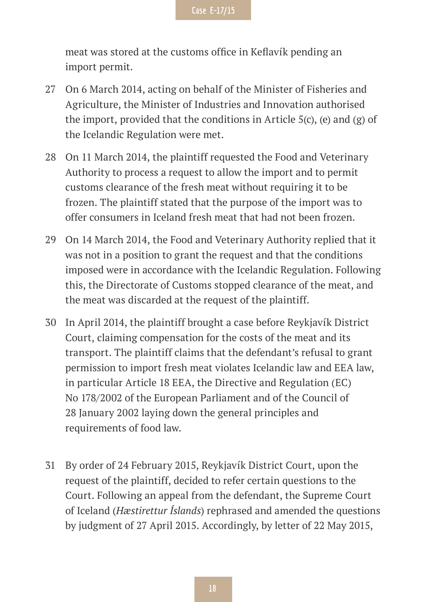meat was stored at the customs office in Keflavík pending an import permit.

- 27 On 6 March 2014, acting on behalf of the Minister of Fisheries and Agriculture, the Minister of Industries and Innovation authorised the import, provided that the conditions in Article  $5(c)$ , (e) and (g) of the Icelandic Regulation were met.
- 28 On 11 March 2014, the plaintiff requested the Food and Veterinary Authority to process a request to allow the import and to permit customs clearance of the fresh meat without requiring it to be frozen. The plaintiff stated that the purpose of the import was to offer consumers in Iceland fresh meat that had not been frozen.
- 29 On 14 March 2014, the Food and Veterinary Authority replied that it was not in a position to grant the request and that the conditions imposed were in accordance with the Icelandic Regulation. Following this, the Directorate of Customs stopped clearance of the meat, and the meat was discarded at the request of the plaintiff.
- 30 In April 2014, the plaintiff brought a case before Reykjavík District Court, claiming compensation for the costs of the meat and its transport. The plaintiff claims that the defendant's refusal to grant permission to import fresh meat violates Icelandic law and EEA law, in particular Article 18 EEA, the Directive and Regulation (EC) No 178/2002 of the European Parliament and of the Council of 28 January 2002 laying down the general principles and requirements of food law.
- 31 By order of 24 February 2015, Reykjavík District Court, upon the request of the plaintiff, decided to refer certain questions to the Court. Following an appeal from the defendant, the Supreme Court of Iceland (*Hæstirettur Íslands*) rephrased and amended the questions by judgment of 27 April 2015. Accordingly, by letter of 22 May 2015,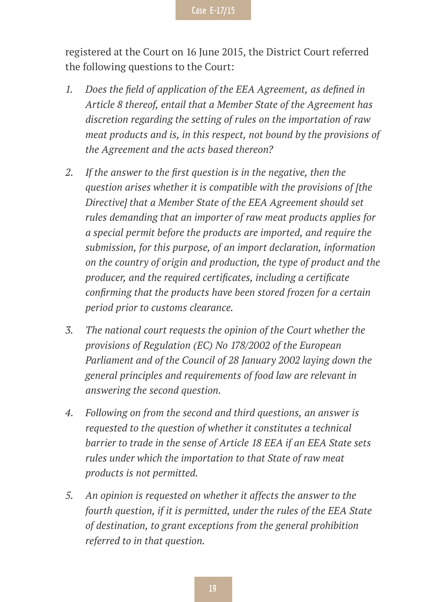registered at the Court on 16 June 2015, the District Court referred the following questions to the Court:

- *1. Does the field of application of the EEA Agreement, as defined in Article 8 thereof, entail that a Member State of the Agreement has discretion regarding the setting of rules on the importation of raw meat products and is, in this respect, not bound by the provisions of the Agreement and the acts based thereon?*
- *2. If the answer to the first question is in the negative, then the question arises whether it is compatible with the provisions of [the Directive] that a Member State of the EEA Agreement should set rules demanding that an importer of raw meat products applies for a special permit before the products are imported, and require the submission, for this purpose, of an import declaration, information on the country of origin and production, the type of product and the producer, and the required certificates, including a certificate confirming that the products have been stored frozen for a certain period prior to customs clearance.*
- *3. The national court requests the opinion of the Court whether the provisions of Regulation (EC) No 178/2002 of the European Parliament and of the Council of 28 January 2002 laying down the general principles and requirements of food law are relevant in answering the second question.*
- *4. Following on from the second and third questions, an answer is requested to the question of whether it constitutes a technical barrier to trade in the sense of Article 18 EEA if an EEA State sets rules under which the importation to that State of raw meat products is not permitted.*
- *5. An opinion is requested on whether it affects the answer to the fourth question, if it is permitted, under the rules of the EEA State of destination, to grant exceptions from the general prohibition referred to in that question.*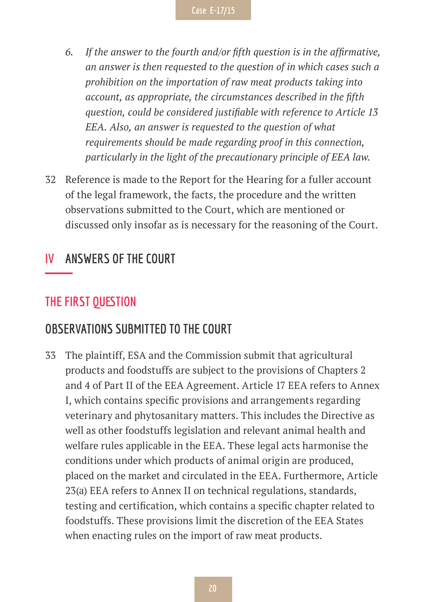- *6. If the answer to the fourth and/or fifth question is in the affirmative, an answer is then requested to the question of in which cases such a prohibition on the importation of raw meat products taking into account, as appropriate, the circumstances described in the fifth question, could be considered justifiable with reference to Article 13 EEA. Also, an answer is requested to the question of what requirements should be made regarding proof in this connection, particularly in the light of the precautionary principle of EEA law.*
- 32 Reference is made to the Report for the Hearing for a fuller account of the legal framework, the facts, the procedure and the written observations submitted to the Court, which are mentioned or discussed only insofar as is necessary for the reasoning of the Court.

#### **IV ANSWERS OF THE COURT**

#### **THE FIRST QUESTION**

#### **OBSERVATIONS SUBMITTED TO THE COURT**

33 The plaintiff, ESA and the Commission submit that agricultural products and foodstuffs are subject to the provisions of Chapters 2 and 4 of Part II of the EEA Agreement. Article 17 EEA refers to Annex I, which contains specific provisions and arrangements regarding veterinary and phytosanitary matters. This includes the Directive as well as other foodstuffs legislation and relevant animal health and welfare rules applicable in the EEA. These legal acts harmonise the conditions under which products of animal origin are produced, placed on the market and circulated in the EEA. Furthermore, Article 23(a) EEA refers to Annex II on technical regulations, standards, testing and certification, which contains a specific chapter related to foodstuffs. These provisions limit the discretion of the EEA States when enacting rules on the import of raw meat products.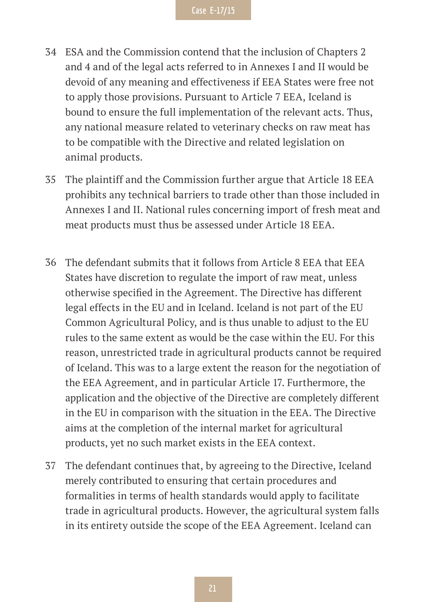- 34 ESA and the Commission contend that the inclusion of Chapters 2 and 4 and of the legal acts referred to in Annexes I and II would be devoid of any meaning and effectiveness if EEA States were free not to apply those provisions. Pursuant to Article 7 EEA, Iceland is bound to ensure the full implementation of the relevant acts. Thus, any national measure related to veterinary checks on raw meat has to be compatible with the Directive and related legislation on animal products.
- 35 The plaintiff and the Commission further argue that Article 18 EEA prohibits any technical barriers to trade other than those included in Annexes I and II. National rules concerning import of fresh meat and meat products must thus be assessed under Article 18 EEA.
- 36 The defendant submits that it follows from Article 8 EEA that EEA States have discretion to regulate the import of raw meat, unless otherwise specified in the Agreement. The Directive has different legal effects in the EU and in Iceland. Iceland is not part of the EU Common Agricultural Policy, and is thus unable to adjust to the EU rules to the same extent as would be the case within the EU. For this reason, unrestricted trade in agricultural products cannot be required of Iceland. This was to a large extent the reason for the negotiation of the EEA Agreement, and in particular Article 17. Furthermore, the application and the objective of the Directive are completely different in the EU in comparison with the situation in the EEA. The Directive aims at the completion of the internal market for agricultural products, yet no such market exists in the EEA context.
- 37 The defendant continues that, by agreeing to the Directive, Iceland merely contributed to ensuring that certain procedures and formalities in terms of health standards would apply to facilitate trade in agricultural products. However, the agricultural system falls in its entirety outside the scope of the EEA Agreement. Iceland can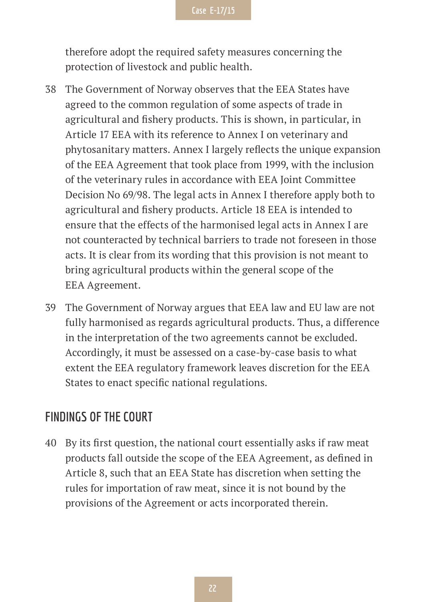therefore adopt the required safety measures concerning the protection of livestock and public health.

- 38 The Government of Norway observes that the EEA States have agreed to the common regulation of some aspects of trade in agricultural and fishery products. This is shown, in particular, in Article 17 EEA with its reference to Annex I on veterinary and phytosanitary matters. Annex I largely reflects the unique expansion of the EEA Agreement that took place from 1999, with the inclusion of the veterinary rules in accordance with EEA Joint Committee Decision No 69/98. The legal acts in Annex I therefore apply both to agricultural and fishery products. Article 18 EEA is intended to ensure that the effects of the harmonised legal acts in Annex I are not counteracted by technical barriers to trade not foreseen in those acts. It is clear from its wording that this provision is not meant to bring agricultural products within the general scope of the EEA Agreement.
- 39 The Government of Norway argues that EEA law and EU law are not fully harmonised as regards agricultural products. Thus, a difference in the interpretation of the two agreements cannot be excluded. Accordingly, it must be assessed on a case-by-case basis to what extent the EEA regulatory framework leaves discretion for the EEA States to enact specific national regulations.

#### **FINDINGS OF THE COURT**

40 By its first question, the national court essentially asks if raw meat products fall outside the scope of the EEA Agreement, as defined in Article 8, such that an EEA State has discretion when setting the rules for importation of raw meat, since it is not bound by the provisions of the Agreement or acts incorporated therein.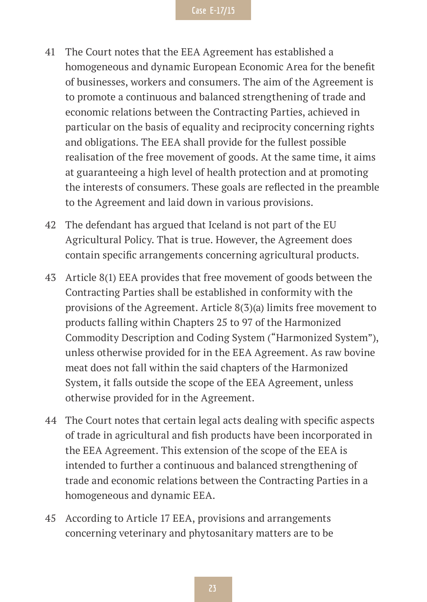- 41 The Court notes that the EEA Agreement has established a homogeneous and dynamic European Economic Area for the benefit of businesses, workers and consumers. The aim of the Agreement is to promote a continuous and balanced strengthening of trade and economic relations between the Contracting Parties, achieved in particular on the basis of equality and reciprocity concerning rights and obligations. The EEA shall provide for the fullest possible realisation of the free movement of goods. At the same time, it aims at guaranteeing a high level of health protection and at promoting the interests of consumers. These goals are reflected in the preamble to the Agreement and laid down in various provisions.
- 42 The defendant has argued that Iceland is not part of the EU Agricultural Policy. That is true. However, the Agreement does contain specific arrangements concerning agricultural products.
- 43 Article 8(1) EEA provides that free movement of goods between the Contracting Parties shall be established in conformity with the provisions of the Agreement. Article 8(3)(a) limits free movement to products falling within Chapters 25 to 97 of the Harmonized Commodity Description and Coding System ("Harmonized System"), unless otherwise provided for in the EEA Agreement. As raw bovine meat does not fall within the said chapters of the Harmonized System, it falls outside the scope of the EEA Agreement, unless otherwise provided for in the Agreement.
- 44 The Court notes that certain legal acts dealing with specific aspects of trade in agricultural and fish products have been incorporated in the EEA Agreement. This extension of the scope of the EEA is intended to further a continuous and balanced strengthening of trade and economic relations between the Contracting Parties in a homogeneous and dynamic EEA.
- 45 According to Article 17 EEA, provisions and arrangements concerning veterinary and phytosanitary matters are to be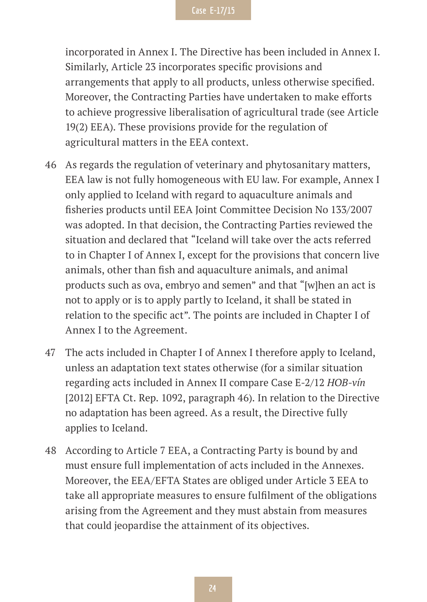incorporated in Annex I. The Directive has been included in Annex I. Similarly, Article 23 incorporates specific provisions and arrangements that apply to all products, unless otherwise specified. Moreover, the Contracting Parties have undertaken to make efforts to achieve progressive liberalisation of agricultural trade (see Article 19(2) EEA). These provisions provide for the regulation of agricultural matters in the EEA context.

- 46 As regards the regulation of veterinary and phytosanitary matters, EEA law is not fully homogeneous with EU law. For example, Annex I only applied to Iceland with regard to aquaculture animals and fisheries products until EEA Joint Committee Decision No 133/2007 was adopted. In that decision, the Contracting Parties reviewed the situation and declared that "Iceland will take over the acts referred to in Chapter I of Annex I, except for the provisions that concern live animals, other than fish and aquaculture animals, and animal products such as ova, embryo and semen" and that "[w]hen an act is not to apply or is to apply partly to Iceland, it shall be stated in relation to the specific act". The points are included in Chapter I of Annex I to the Agreement.
- 47 The acts included in Chapter I of Annex I therefore apply to Iceland, unless an adaptation text states otherwise (for a similar situation regarding acts included in Annex II compare Case E-2/12 *HOB-vín*  [2012] EFTA Ct. Rep. 1092, paragraph 46). In relation to the Directive no adaptation has been agreed. As a result, the Directive fully applies to Iceland.
- 48 According to Article 7 EEA, a Contracting Party is bound by and must ensure full implementation of acts included in the Annexes. Moreover, the EEA/EFTA States are obliged under Article 3 EEA to take all appropriate measures to ensure fulfilment of the obligations arising from the Agreement and they must abstain from measures that could jeopardise the attainment of its objectives.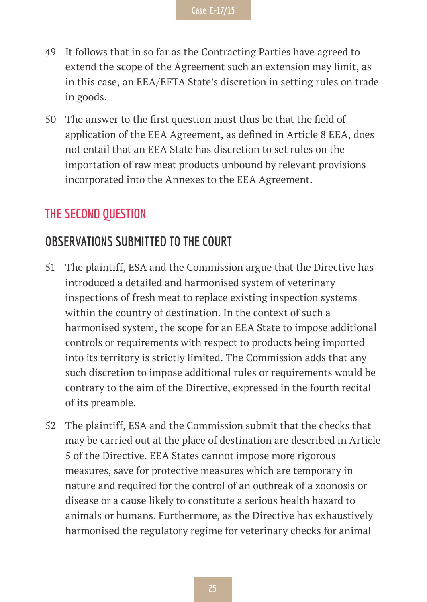- 49 It follows that in so far as the Contracting Parties have agreed to extend the scope of the Agreement such an extension may limit, as in this case, an EEA/EFTA State's discretion in setting rules on trade in goods.
- 50 The answer to the first question must thus be that the field of application of the EEA Agreement, as defined in Article 8 EEA, does not entail that an EEA State has discretion to set rules on the importation of raw meat products unbound by relevant provisions incorporated into the Annexes to the EEA Agreement.

#### **THE SECOND QUESTION**

#### **OBSERVATIONS SUBMITTED TO THE COURT**

- 51 The plaintiff, ESA and the Commission argue that the Directive has introduced a detailed and harmonised system of veterinary inspections of fresh meat to replace existing inspection systems within the country of destination. In the context of such a harmonised system, the scope for an EEA State to impose additional controls or requirements with respect to products being imported into its territory is strictly limited. The Commission adds that any such discretion to impose additional rules or requirements would be contrary to the aim of the Directive, expressed in the fourth recital of its preamble.
- 52 The plaintiff, ESA and the Commission submit that the checks that may be carried out at the place of destination are described in Article 5 of the Directive. EEA States cannot impose more rigorous measures, save for protective measures which are temporary in nature and required for the control of an outbreak of a zoonosis or disease or a cause likely to constitute a serious health hazard to animals or humans. Furthermore, as the Directive has exhaustively harmonised the regulatory regime for veterinary checks for animal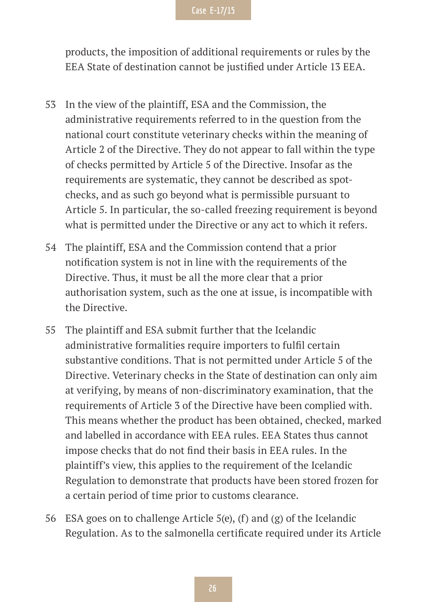products, the imposition of additional requirements or rules by the EEA State of destination cannot be justified under Article 13 EEA.

- 53 In the view of the plaintiff, ESA and the Commission, the administrative requirements referred to in the question from the national court constitute veterinary checks within the meaning of Article 2 of the Directive. They do not appear to fall within the type of checks permitted by Article 5 of the Directive. Insofar as the requirements are systematic, they cannot be described as spotchecks, and as such go beyond what is permissible pursuant to Article 5. In particular, the so-called freezing requirement is beyond what is permitted under the Directive or any act to which it refers.
- 54 The plaintiff, ESA and the Commission contend that a prior notification system is not in line with the requirements of the Directive. Thus, it must be all the more clear that a prior authorisation system, such as the one at issue, is incompatible with the Directive.
- 55 The plaintiff and ESA submit further that the Icelandic administrative formalities require importers to fulfil certain substantive conditions. That is not permitted under Article 5 of the Directive. Veterinary checks in the State of destination can only aim at verifying, by means of non-discriminatory examination, that the requirements of Article 3 of the Directive have been complied with. This means whether the product has been obtained, checked, marked and labelled in accordance with EEA rules. EEA States thus cannot impose checks that do not find their basis in EEA rules. In the plaintiff's view, this applies to the requirement of the Icelandic Regulation to demonstrate that products have been stored frozen for a certain period of time prior to customs clearance.
- 56 ESA goes on to challenge Article 5(e), (f) and (g) of the Icelandic Regulation. As to the salmonella certificate required under its Article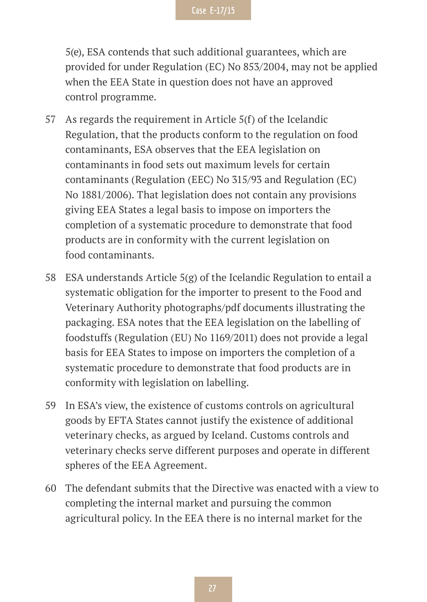5(e), ESA contends that such additional guarantees, which are provided for under Regulation (EC) No 853/2004, may not be applied when the EEA State in question does not have an approved control programme.

- 57 As regards the requirement in Article 5(f) of the Icelandic Regulation, that the products conform to the regulation on food contaminants, ESA observes that the EEA legislation on contaminants in food sets out maximum levels for certain contaminants (Regulation (EEC) No 315/93 and Regulation (EC) No 1881/2006). That legislation does not contain any provisions giving EEA States a legal basis to impose on importers the completion of a systematic procedure to demonstrate that food products are in conformity with the current legislation on food contaminants.
- 58 ESA understands Article 5(g) of the Icelandic Regulation to entail a systematic obligation for the importer to present to the Food and Veterinary Authority photographs/pdf documents illustrating the packaging. ESA notes that the EEA legislation on the labelling of foodstuffs (Regulation (EU) No 1169/2011) does not provide a legal basis for EEA States to impose on importers the completion of a systematic procedure to demonstrate that food products are in conformity with legislation on labelling.
- 59 In ESA's view, the existence of customs controls on agricultural goods by EFTA States cannot justify the existence of additional veterinary checks, as argued by Iceland. Customs controls and veterinary checks serve different purposes and operate in different spheres of the EEA Agreement.
- 60 The defendant submits that the Directive was enacted with a view to completing the internal market and pursuing the common agricultural policy. In the EEA there is no internal market for the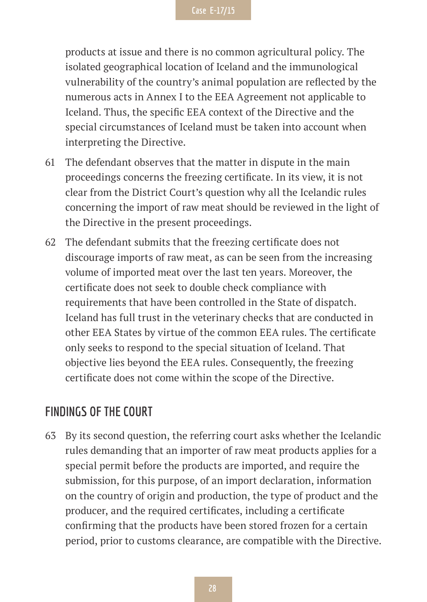products at issue and there is no common agricultural policy. The isolated geographical location of Iceland and the immunological vulnerability of the country's animal population are reflected by the numerous acts in Annex I to the EEA Agreement not applicable to Iceland. Thus, the specific EEA context of the Directive and the special circumstances of Iceland must be taken into account when interpreting the Directive.

- 61 The defendant observes that the matter in dispute in the main proceedings concerns the freezing certificate. In its view, it is not clear from the District Court's question why all the Icelandic rules concerning the import of raw meat should be reviewed in the light of the Directive in the present proceedings.
- 62 The defendant submits that the freezing certificate does not discourage imports of raw meat, as can be seen from the increasing volume of imported meat over the last ten years. Moreover, the certificate does not seek to double check compliance with requirements that have been controlled in the State of dispatch. Iceland has full trust in the veterinary checks that are conducted in other EEA States by virtue of the common EEA rules. The certificate only seeks to respond to the special situation of Iceland. That objective lies beyond the EEA rules. Consequently, the freezing certificate does not come within the scope of the Directive.

#### **FINDINGS OF THE COURT**

63 By its second question, the referring court asks whether the Icelandic rules demanding that an importer of raw meat products applies for a special permit before the products are imported, and require the submission, for this purpose, of an import declaration, information on the country of origin and production, the type of product and the producer, and the required certificates, including a certificate confirming that the products have been stored frozen for a certain period, prior to customs clearance, are compatible with the Directive.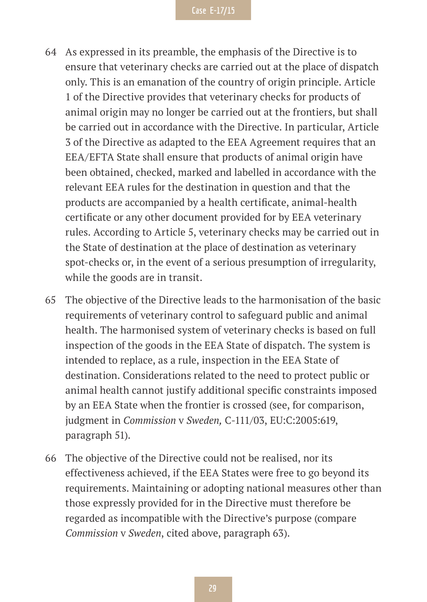- 64 As expressed in its preamble, the emphasis of the Directive is to ensure that veterinary checks are carried out at the place of dispatch only. This is an emanation of the country of origin principle. Article 1 of the Directive provides that veterinary checks for products of animal origin may no longer be carried out at the frontiers, but shall be carried out in accordance with the Directive. In particular, Article 3 of the Directive as adapted to the EEA Agreement requires that an EEA/EFTA State shall ensure that products of animal origin have been obtained, checked, marked and labelled in accordance with the relevant EEA rules for the destination in question and that the products are accompanied by a health certificate, animal-health certificate or any other document provided for by EEA veterinary rules. According to Article 5, veterinary checks may be carried out in the State of destination at the place of destination as veterinary spot-checks or, in the event of a serious presumption of irregularity, while the goods are in transit.
- 65 The objective of the Directive leads to the harmonisation of the basic requirements of veterinary control to safeguard public and animal health. The harmonised system of veterinary checks is based on full inspection of the goods in the EEA State of dispatch. The system is intended to replace, as a rule, inspection in the EEA State of destination. Considerations related to the need to protect public or animal health cannot justify additional specific constraints imposed by an EEA State when the frontier is crossed (see, for comparison, judgment in *Commission* v *Sweden,* C-111/03, EU:C:2005:619, paragraph 51).
- 66 The objective of the Directive could not be realised, nor its effectiveness achieved, if the EEA States were free to go beyond its requirements. Maintaining or adopting national measures other than those expressly provided for in the Directive must therefore be regarded as incompatible with the Directive's purpose (compare *Commission* v *Sweden*, cited above, paragraph 63).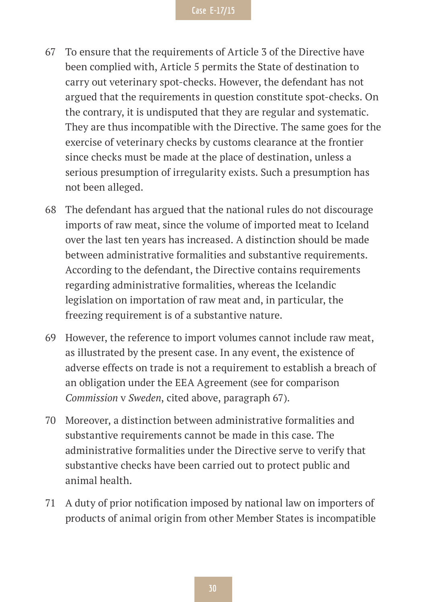- 67 To ensure that the requirements of Article 3 of the Directive have been complied with, Article 5 permits the State of destination to carry out veterinary spot-checks. However, the defendant has not argued that the requirements in question constitute spot-checks. On the contrary, it is undisputed that they are regular and systematic. They are thus incompatible with the Directive. The same goes for the exercise of veterinary checks by customs clearance at the frontier since checks must be made at the place of destination, unless a serious presumption of irregularity exists. Such a presumption has not been alleged.
- 68 The defendant has argued that the national rules do not discourage imports of raw meat, since the volume of imported meat to Iceland over the last ten years has increased. A distinction should be made between administrative formalities and substantive requirements. According to the defendant, the Directive contains requirements regarding administrative formalities, whereas the Icelandic legislation on importation of raw meat and, in particular, the freezing requirement is of a substantive nature.
- 69 However, the reference to import volumes cannot include raw meat, as illustrated by the present case. In any event, the existence of adverse effects on trade is not a requirement to establish a breach of an obligation under the EEA Agreement (see for comparison *Commission* v *Sweden*, cited above, paragraph 67).
- 70 Moreover, a distinction between administrative formalities and substantive requirements cannot be made in this case. The administrative formalities under the Directive serve to verify that substantive checks have been carried out to protect public and animal health.
- 71 A duty of prior notification imposed by national law on importers of products of animal origin from other Member States is incompatible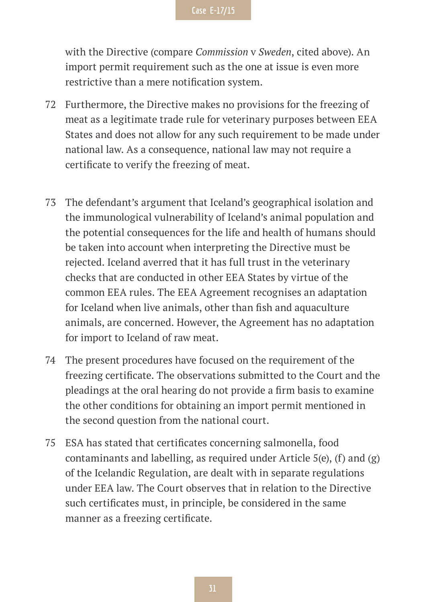with the Directive (compare *Commission* v *Sweden*, cited above). An import permit requirement such as the one at issue is even more restrictive than a mere notification system.

- 72 Furthermore, the Directive makes no provisions for the freezing of meat as a legitimate trade rule for veterinary purposes between EEA States and does not allow for any such requirement to be made under national law. As a consequence, national law may not require a certificate to verify the freezing of meat.
- 73 The defendant's argument that Iceland's geographical isolation and the immunological vulnerability of Iceland's animal population and the potential consequences for the life and health of humans should be taken into account when interpreting the Directive must be rejected. Iceland averred that it has full trust in the veterinary checks that are conducted in other EEA States by virtue of the common EEA rules. The EEA Agreement recognises an adaptation for Iceland when live animals, other than fish and aquaculture animals, are concerned. However, the Agreement has no adaptation for import to Iceland of raw meat.
- 74 The present procedures have focused on the requirement of the freezing certificate. The observations submitted to the Court and the pleadings at the oral hearing do not provide a firm basis to examine the other conditions for obtaining an import permit mentioned in the second question from the national court.
- 75 ESA has stated that certificates concerning salmonella, food contaminants and labelling, as required under Article 5(e), (f) and (g) of the Icelandic Regulation, are dealt with in separate regulations under EEA law. The Court observes that in relation to the Directive such certificates must, in principle, be considered in the same manner as a freezing certificate.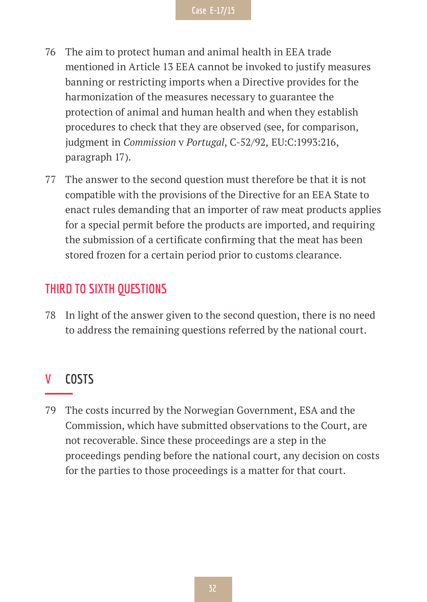- 76 The aim to protect human and animal health in EEA trade mentioned in Article 13 EEA cannot be invoked to justify measures banning or restricting imports when a Directive provides for the harmonization of the measures necessary to guarantee the protection of animal and human health and when they establish procedures to check that they are observed (see, for comparison, judgment in *Commission* v *Portugal*, C-52/92*,* EU:C:1993:216, paragraph 17).
- 77 The answer to the second question must therefore be that it is not compatible with the provisions of the Directive for an EEA State to enact rules demanding that an importer of raw meat products applies for a special permit before the products are imported, and requiring the submission of a certificate confirming that the meat has been stored frozen for a certain period prior to customs clearance.

#### **THIRD TO SIXTH QUESTIONS**

78 In light of the answer given to the second question, there is no need to address the remaining questions referred by the national court.

#### **V COSTS**

79 The costs incurred by the Norwegian Government, ESA and the Commission, which have submitted observations to the Court, are not recoverable. Since these proceedings are a step in the proceedings pending before the national court, any decision on costs for the parties to those proceedings is a matter for that court.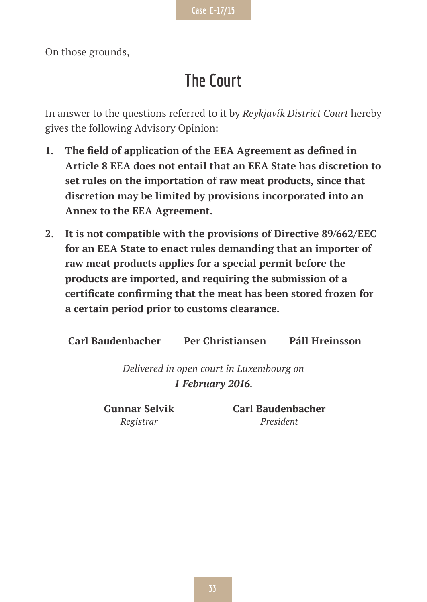On those grounds,

## **The Court**

In answer to the questions referred to it by *Reykjavík District Court* hereby gives the following Advisory Opinion:

- **1. The field of application of the EEA Agreement as defined in Article 8 EEA does not entail that an EEA State has discretion to set rules on the importation of raw meat products, since that discretion may be limited by provisions incorporated into an Annex to the EEA Agreement.**
- **2. It is not compatible with the provisions of Directive 89/662/EEC for an EEA State to enact rules demanding that an importer of raw meat products applies for a special permit before the products are imported, and requiring the submission of a certificate confirming that the meat has been stored frozen for a certain period prior to customs clearance.**

**Carl Baudenbacher Per Christiansen Páll Hreinsson**

*Delivered in open court in Luxembourg on 1 February 2016.*

**Gunnar Selvik** *Registrar*

**Carl Baudenbacher** *President*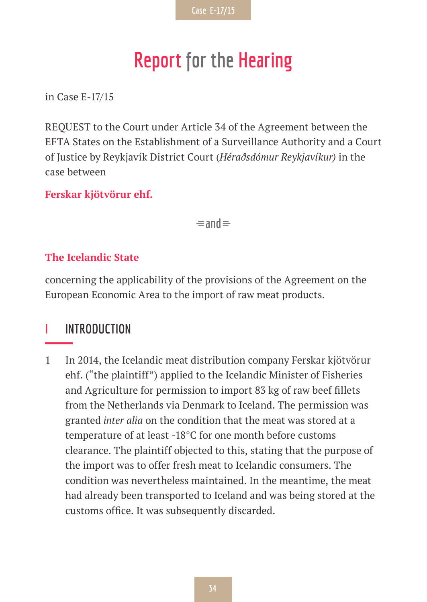# **Report for the Hearing**

in Case E-17/15

REQUEST to the Court under Article 34 of the Agreement between the EFTA States on the Establishment of a Surveillance Authority and a Court of Justice by Reykjavík District Court (*Héraðsdómur Reykjavíkur)* in the case between

#### **Ferskar kjötvörur ehf.**

 $\equiv$ and $\equiv$ 

#### **The Icelandic State**

concerning the applicability of the provisions of the Agreement on the European Economic Area to the import of raw meat products.

#### **I INTRODUCTION**

1 In 2014, the Icelandic meat distribution company Ferskar kjötvörur ehf. ("the plaintiff") applied to the Icelandic Minister of Fisheries and Agriculture for permission to import 83 kg of raw beef fillets from the Netherlands via Denmark to Iceland. The permission was granted *inter alia* on the condition that the meat was stored at a temperature of at least -18°C for one month before customs clearance. The plaintiff objected to this, stating that the purpose of the import was to offer fresh meat to Icelandic consumers. The condition was nevertheless maintained. In the meantime, the meat had already been transported to Iceland and was being stored at the customs office. It was subsequently discarded.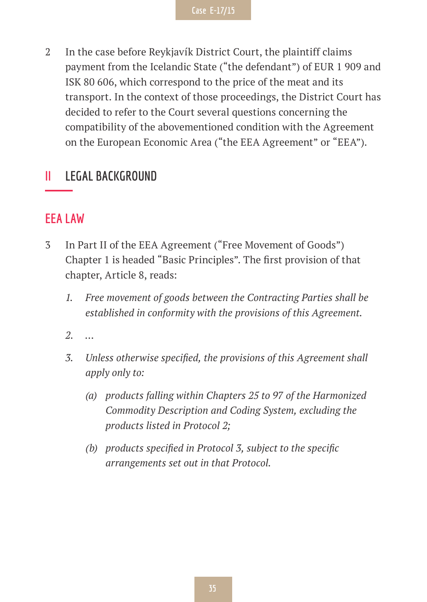2 In the case before Reykjavík District Court, the plaintiff claims payment from the Icelandic State ("the defendant") of EUR 1 909 and ISK 80 606, which correspond to the price of the meat and its transport. In the context of those proceedings, the District Court has decided to refer to the Court several questions concerning the compatibility of the abovementioned condition with the Agreement on the European Economic Area ("the EEA Agreement" or "EEA").

#### **II LEGAL BACKGROUND**

#### **EEA LAW**

- 3 In Part II of the EEA Agreement ("Free Movement of Goods") Chapter 1 is headed "Basic Principles". The first provision of that chapter, Article 8, reads:
	- *1. Free movement of goods between the Contracting Parties shall be established in conformity with the provisions of this Agreement.*
	- *2. …*
	- *3. Unless otherwise specified, the provisions of this Agreement shall apply only to:*
		- *(a) products falling within Chapters 25 to 97 of the Harmonized Commodity Description and Coding System, excluding the products listed in Protocol 2;*
		- *(b) products specified in Protocol 3, subject to the specific arrangements set out in that Protocol.*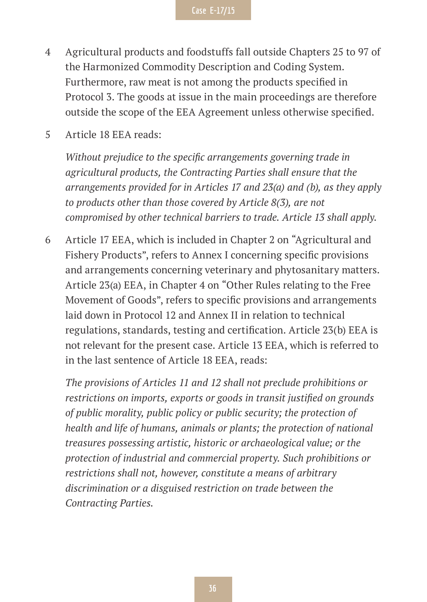- 4 Agricultural products and foodstuffs fall outside Chapters 25 to 97 of the Harmonized Commodity Description and Coding System. Furthermore, raw meat is not among the products specified in Protocol 3. The goods at issue in the main proceedings are therefore outside the scope of the EEA Agreement unless otherwise specified.
- 5 Article 18 EEA reads:

*Without prejudice to the specific arrangements governing trade in agricultural products, the Contracting Parties shall ensure that the arrangements provided for in Articles 17 and 23(a) and (b), as they apply to products other than those covered by Article 8(3), are not compromised by other technical barriers to trade. Article 13 shall apply.*

6 Article 17 EEA, which is included in Chapter 2 on "Agricultural and Fishery Products", refers to Annex I concerning specific provisions and arrangements concerning veterinary and phytosanitary matters. Article 23(a) EEA, in Chapter 4 on "Other Rules relating to the Free Movement of Goods", refers to specific provisions and arrangements laid down in Protocol 12 and Annex II in relation to technical regulations, standards, testing and certification. Article 23(b) EEA is not relevant for the present case. Article 13 EEA, which is referred to in the last sentence of Article 18 EEA, reads:

*The provisions of Articles 11 and 12 shall not preclude prohibitions or restrictions on imports, exports or goods in transit justified on grounds of public morality, public policy or public security; the protection of health and life of humans, animals or plants; the protection of national treasures possessing artistic, historic or archaeological value; or the protection of industrial and commercial property. Such prohibitions or restrictions shall not, however, constitute a means of arbitrary discrimination or a disguised restriction on trade between the Contracting Parties.*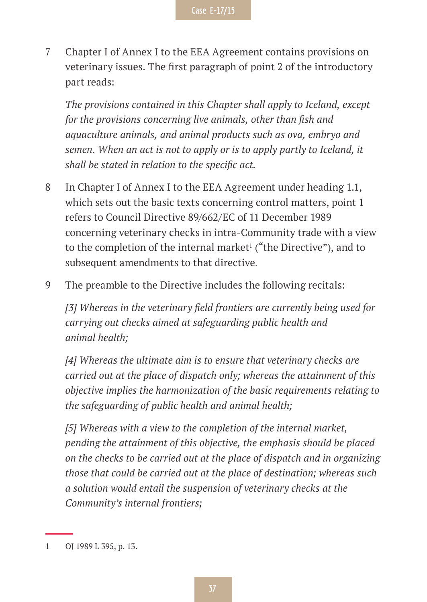7 Chapter I of Annex I to the EEA Agreement contains provisions on veterinary issues. The first paragraph of point 2 of the introductory part reads:

*The provisions contained in this Chapter shall apply to Iceland, except for the provisions concerning live animals, other than fish and aquaculture animals, and animal products such as ova, embryo and semen. When an act is not to apply or is to apply partly to Iceland, it shall be stated in relation to the specific act.*

- 8 In Chapter I of Annex I to the EEA Agreement under heading 1.1, which sets out the basic texts concerning control matters, point 1 refers to Council Directive 89/662/EC of 11 December 1989 concerning veterinary checks in intra-Community trade with a view to the completion of the internal market<sup>1</sup> ("the Directive"), and to subsequent amendments to that directive.
- 9 The preamble to the Directive includes the following recitals:

*[3] Whereas in the veterinary field frontiers are currently being used for carrying out checks aimed at safeguarding public health and animal health;*

*[4] Whereas the ultimate aim is to ensure that veterinary checks are carried out at the place of dispatch only; whereas the attainment of this objective implies the harmonization of the basic requirements relating to the safeguarding of public health and animal health;*

*[5] Whereas with a view to the completion of the internal market, pending the attainment of this objective, the emphasis should be placed on the checks to be carried out at the place of dispatch and in organizing those that could be carried out at the place of destination; whereas such a solution would entail the suspension of veterinary checks at the Community's internal frontiers;*

<sup>1</sup> OJ 1989 L 395, p. 13.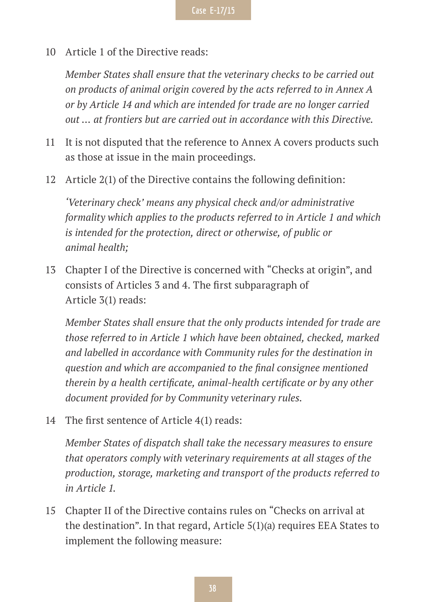10 Article 1 of the Directive reads:

*Member States shall ensure that the veterinary checks to be carried out on products of animal origin covered by the acts referred to in Annex A or by Article 14 and which are intended for trade are no longer carried out … at frontiers but are carried out in accordance with this Directive.*

- 11 It is not disputed that the reference to Annex A covers products such as those at issue in the main proceedings.
- 12 Article 2(1) of the Directive contains the following definition:

*'Veterinary check' means any physical check and/or administrative formality which applies to the products referred to in Article 1 and which is intended for the protection, direct or otherwise, of public or animal health;*

13 Chapter I of the Directive is concerned with "Checks at origin", and consists of Articles 3 and 4. The first subparagraph of Article 3(1) reads:

*Member States shall ensure that the only products intended for trade are those referred to in Article 1 which have been obtained, checked, marked and labelled in accordance with Community rules for the destination in question and which are accompanied to the final consignee mentioned therein by a health certificate, animal-health certificate or by any other document provided for by Community veterinary rules.*

14 The first sentence of Article 4(1) reads:

*Member States of dispatch shall take the necessary measures to ensure that operators comply with veterinary requirements at all stages of the production, storage, marketing and transport of the products referred to in Article 1.*

15 Chapter II of the Directive contains rules on "Checks on arrival at the destination". In that regard, Article 5(1)(a) requires EEA States to implement the following measure: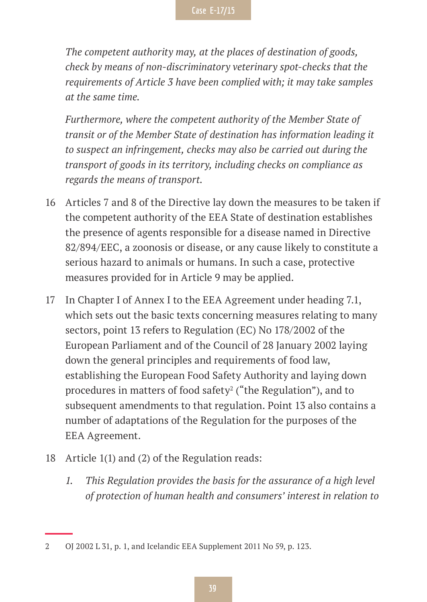*The competent authority may, at the places of destination of goods, check by means of non-discriminatory veterinary spot-checks that the requirements of Article 3 have been complied with; it may take samples at the same time.*

*Furthermore, where the competent authority of the Member State of transit or of the Member State of destination has information leading it to suspect an infringement, checks may also be carried out during the transport of goods in its territory, including checks on compliance as regards the means of transport.*

- 16 Articles 7 and 8 of the Directive lay down the measures to be taken if the competent authority of the EEA State of destination establishes the presence of agents responsible for a disease named in Directive 82/894/EEC, a zoonosis or disease, or any cause likely to constitute a serious hazard to animals or humans. In such a case, protective measures provided for in Article 9 may be applied.
- 17 In Chapter I of Annex I to the EEA Agreement under heading 7.1, which sets out the basic texts concerning measures relating to many sectors, point 13 refers to Regulation (EC) No 178/2002 of the European Parliament and of the Council of 28 January 2002 laying down the general principles and requirements of food law, establishing the European Food Safety Authority and laying down procedures in matters of food safety<sup>2</sup> ("the Regulation"), and to subsequent amendments to that regulation. Point 13 also contains a number of adaptations of the Regulation for the purposes of the EEA Agreement.
- 18 Article 1(1) and (2) of the Regulation reads:
	- *1. This Regulation provides the basis for the assurance of a high level of protection of human health and consumers' interest in relation to*

<sup>2</sup> OJ 2002 L 31, p. 1, and Icelandic EEA Supplement 2011 No 59, p. 123.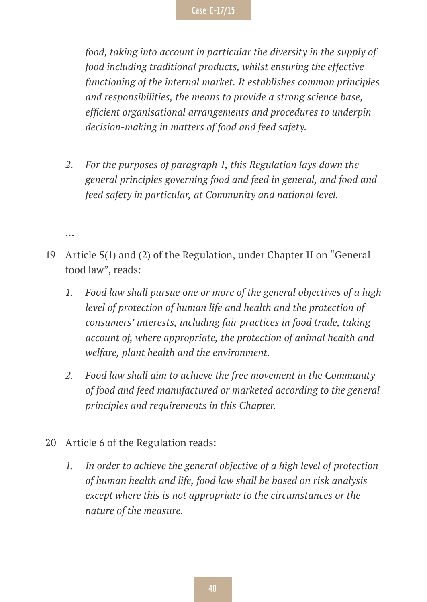*food, taking into account in particular the diversity in the supply of food including traditional products, whilst ensuring the effective functioning of the internal market. It establishes common principles and responsibilities, the means to provide a strong science base, efficient organisational arrangements and procedures to underpin decision-making in matters of food and feed safety.*

- *2. For the purposes of paragraph 1, this Regulation lays down the general principles governing food and feed in general, and food and feed safety in particular, at Community and national level.*
- …
- 19 Article 5(1) and (2) of the Regulation, under Chapter II on "General food law", reads:
	- *1. Food law shall pursue one or more of the general objectives of a high level of protection of human life and health and the protection of consumers' interests, including fair practices in food trade, taking account of, where appropriate, the protection of animal health and welfare, plant health and the environment.*
	- *2. Food law shall aim to achieve the free movement in the Community of food and feed manufactured or marketed according to the general principles and requirements in this Chapter.*
- 20 Article 6 of the Regulation reads:
	- *1. In order to achieve the general objective of a high level of protection of human health and life, food law shall be based on risk analysis except where this is not appropriate to the circumstances or the nature of the measure.*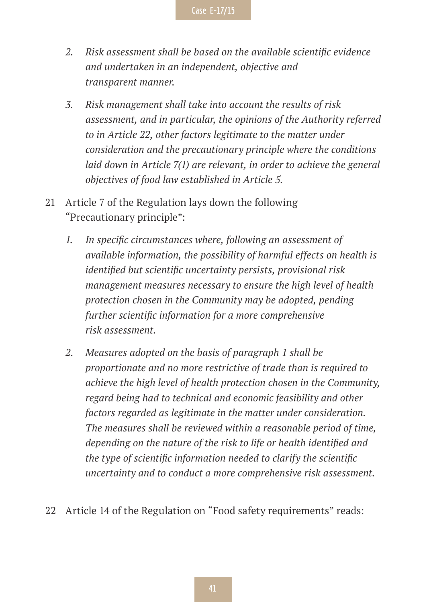- *2. Risk assessment shall be based on the available scientific evidence and undertaken in an independent, objective and transparent manner.*
- *3. Risk management shall take into account the results of risk assessment, and in particular, the opinions of the Authority referred to in Article 22, other factors legitimate to the matter under consideration and the precautionary principle where the conditions laid down in Article 7(1) are relevant, in order to achieve the general objectives of food law established in Article 5.*
- 21 Article 7 of the Regulation lays down the following "Precautionary principle":
	- *1. In specific circumstances where, following an assessment of available information, the possibility of harmful effects on health is identified but scientific uncertainty persists, provisional risk management measures necessary to ensure the high level of health protection chosen in the Community may be adopted, pending further scientific information for a more comprehensive risk assessment.*
	- *2. Measures adopted on the basis of paragraph 1 shall be proportionate and no more restrictive of trade than is required to achieve the high level of health protection chosen in the Community, regard being had to technical and economic feasibility and other factors regarded as legitimate in the matter under consideration. The measures shall be reviewed within a reasonable period of time, depending on the nature of the risk to life or health identified and the type of scientific information needed to clarify the scientific uncertainty and to conduct a more comprehensive risk assessment.*
- 22 Article 14 of the Regulation on "Food safety requirements" reads: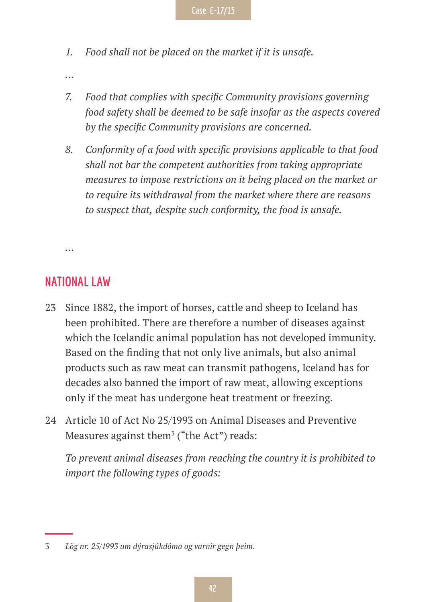- *1. Food shall not be placed on the market if it is unsafe.*
- *…*
- *7. Food that complies with specific Community provisions governing food safety shall be deemed to be safe insofar as the aspects covered by the specific Community provisions are concerned.*
- *8. Conformity of a food with specific provisions applicable to that food shall not bar the competent authorities from taking appropriate measures to impose restrictions on it being placed on the market or to require its withdrawal from the market where there are reasons to suspect that, despite such conformity, the food is unsafe.*

*…*

### **NATIONAL LAW**

- 23 Since 1882, the import of horses, cattle and sheep to Iceland has been prohibited. There are therefore a number of diseases against which the Icelandic animal population has not developed immunity. Based on the finding that not only live animals, but also animal products such as raw meat can transmit pathogens, Iceland has for decades also banned the import of raw meat, allowing exceptions only if the meat has undergone heat treatment or freezing.
- 24 Article 10 of Act No 25/1993 on Animal Diseases and Preventive Measures against them $^{\text{3}}$  ("the Act") reads:

*To prevent animal diseases from reaching the country it is prohibited to import the following types of goods:*

<sup>3</sup> *Lög nr. 25/1993 um dýrasjúkdóma og varnir gegn þeim*.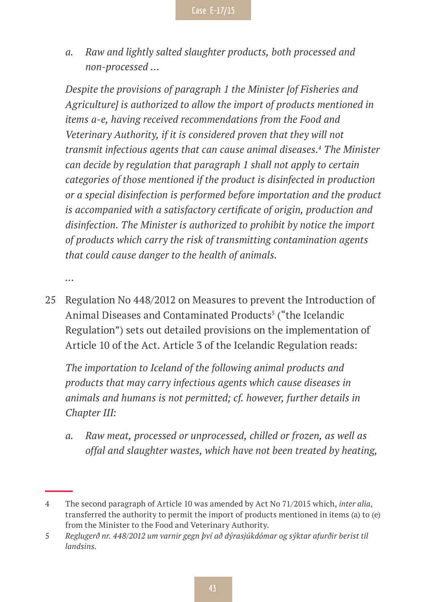*a. Raw and lightly salted slaughter products, both processed and non-processed …*

*Despite the provisions of paragraph 1 the Minister [of Fisheries and Agriculture] is authorized to allow the import of products mentioned in items a-e, having received recommendations from the Food and Veterinary Authority, if it is considered proven that they will not transmit infectious agents that can cause animal diseases.4 The Minister can decide by regulation that paragraph 1 shall not apply to certain categories of those mentioned if the product is disinfected in production or a special disinfection is performed before importation and the product is accompanied with a satisfactory certificate of origin, production and disinfection. The Minister is authorized to prohibit by notice the import of products which carry the risk of transmitting contamination agents that could cause danger to the health of animals.*

*…*

25 Regulation No 448/2012 on Measures to prevent the Introduction of Animal Diseases and Contaminated Products<sup>5</sup> ("the Icelandic Regulation") sets out detailed provisions on the implementation of Article 10 of the Act. Article 3 of the Icelandic Regulation reads:

*The importation to Iceland of the following animal products and products that may carry infectious agents which cause diseases in animals and humans is not permitted; cf. however, further details in Chapter III:*

*a. Raw meat, processed or unprocessed, chilled or frozen, as well as offal and slaughter wastes, which have not been treated by heating,* 

<sup>4</sup> The second paragraph of Article 10 was amended by Act No 71/2015 which, *inter alia*, transferred the authority to permit the import of products mentioned in items (a) to (e) from the Minister to the Food and Veterinary Authority.

<sup>5</sup> *Reglugerð nr. 448/2012 um varnir gegn því að dýrasjúkdómar og sýktar afurðir berist til landsins*.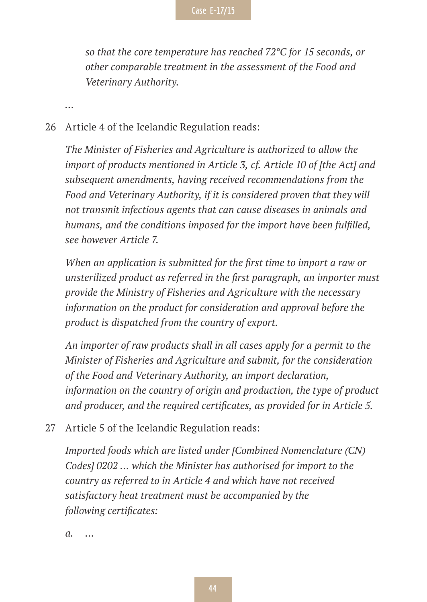*so that the core temperature has reached 72°C for 15 seconds, or other comparable treatment in the assessment of the Food and Veterinary Authority.*

*…*

#### 26 Article 4 of the Icelandic Regulation reads:

*The Minister of Fisheries and Agriculture is authorized to allow the import of products mentioned in Article 3, cf. Article 10 of [the Act] and subsequent amendments, having received recommendations from the Food and Veterinary Authority, if it is considered proven that they will not transmit infectious agents that can cause diseases in animals and humans, and the conditions imposed for the import have been fulfilled, see however Article 7.*

*When an application is submitted for the first time to import a raw or unsterilized product as referred in the first paragraph, an importer must provide the Ministry of Fisheries and Agriculture with the necessary information on the product for consideration and approval before the product is dispatched from the country of export.*

*An importer of raw products shall in all cases apply for a permit to the Minister of Fisheries and Agriculture and submit, for the consideration of the Food and Veterinary Authority, an import declaration, information on the country of origin and production, the type of product and producer, and the required certificates, as provided for in Article 5.*

27 Article 5 of the Icelandic Regulation reads:

*Imported foods which are listed under [Combined Nomenclature (CN) Codes] 0202 … which the Minister has authorised for import to the country as referred to in Article 4 and which have not received satisfactory heat treatment must be accompanied by the following certificates:*

*a. …*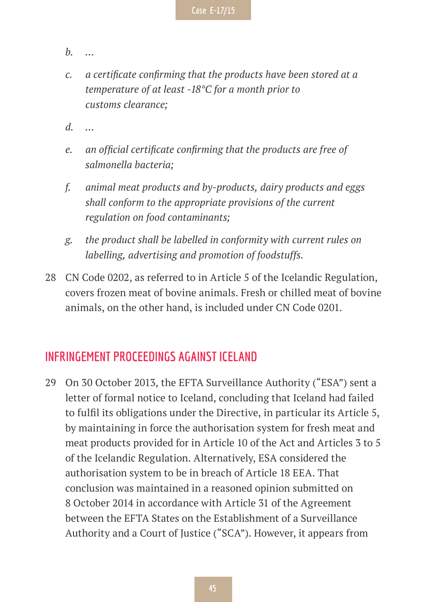- *b. …*
- *c. a certificate confirming that the products have been stored at a temperature of at least -18°C for a month prior to customs clearance;*
- *d. …*
- *e. an official certificate confirming that the products are free of salmonella bacteria;*
- *f. animal meat products and by-products, dairy products and eggs shall conform to the appropriate provisions of the current regulation on food contaminants;*
- *g. the product shall be labelled in conformity with current rules on labelling, advertising and promotion of foodstuffs.*
- 28 CN Code 0202, as referred to in Article 5 of the Icelandic Regulation, covers frozen meat of bovine animals. Fresh or chilled meat of bovine animals, on the other hand, is included under CN Code 0201.

#### **INFRINGEMENT PROCEEDINGS AGAINST ICELAND**

29 On 30 October 2013, the EFTA Surveillance Authority ("ESA") sent a letter of formal notice to Iceland, concluding that Iceland had failed to fulfil its obligations under the Directive, in particular its Article 5, by maintaining in force the authorisation system for fresh meat and meat products provided for in Article 10 of the Act and Articles 3 to 5 of the Icelandic Regulation. Alternatively, ESA considered the authorisation system to be in breach of Article 18 EEA. That conclusion was maintained in a reasoned opinion submitted on 8 October 2014 in accordance with Article 31 of the Agreement between the EFTA States on the Establishment of a Surveillance Authority and a Court of Justice ("SCA"). However, it appears from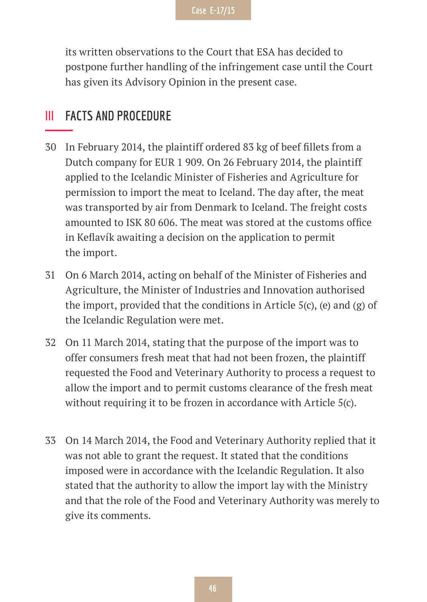

its written observations to the Court that ESA has decided to postpone further handling of the infringement case until the Court has given its Advisory Opinion in the present case.

### **III FACTS AND PROCEDURE**

- 30 In February 2014, the plaintiff ordered 83 kg of beef fillets from a Dutch company for EUR 1 909. On 26 February 2014, the plaintiff applied to the Icelandic Minister of Fisheries and Agriculture for permission to import the meat to Iceland. The day after, the meat was transported by air from Denmark to Iceland. The freight costs amounted to ISK 80 606. The meat was stored at the customs office in Keflavík awaiting a decision on the application to permit the import.
- 31 On 6 March 2014, acting on behalf of the Minister of Fisheries and Agriculture, the Minister of Industries and Innovation authorised the import, provided that the conditions in Article 5(c), (e) and (g) of the Icelandic Regulation were met.
- 32 On 11 March 2014, stating that the purpose of the import was to offer consumers fresh meat that had not been frozen, the plaintiff requested the Food and Veterinary Authority to process a request to allow the import and to permit customs clearance of the fresh meat without requiring it to be frozen in accordance with Article 5(c).
- 33 On 14 March 2014, the Food and Veterinary Authority replied that it was not able to grant the request. It stated that the conditions imposed were in accordance with the Icelandic Regulation. It also stated that the authority to allow the import lay with the Ministry and that the role of the Food and Veterinary Authority was merely to give its comments.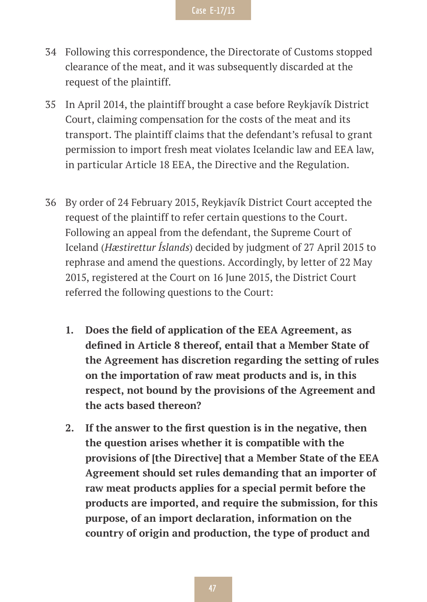- 34 Following this correspondence, the Directorate of Customs stopped clearance of the meat, and it was subsequently discarded at the request of the plaintiff.
- 35 In April 2014, the plaintiff brought a case before Reykjavík District Court, claiming compensation for the costs of the meat and its transport. The plaintiff claims that the defendant's refusal to grant permission to import fresh meat violates Icelandic law and EEA law, in particular Article 18 EEA, the Directive and the Regulation.
- 36 By order of 24 February 2015, Reykjavík District Court accepted the request of the plaintiff to refer certain questions to the Court. Following an appeal from the defendant, the Supreme Court of Iceland (*Hæstirettur Íslands*) decided by judgment of 27 April 2015 to rephrase and amend the questions. Accordingly, by letter of 22 May 2015, registered at the Court on 16 June 2015, the District Court referred the following questions to the Court:
	- **1. Does the field of application of the EEA Agreement, as defined in Article 8 thereof, entail that a Member State of the Agreement has discretion regarding the setting of rules on the importation of raw meat products and is, in this respect, not bound by the provisions of the Agreement and the acts based thereon?**
	- **2. If the answer to the first question is in the negative, then the question arises whether it is compatible with the provisions of [the Directive] that a Member State of the EEA Agreement should set rules demanding that an importer of raw meat products applies for a special permit before the products are imported, and require the submission, for this purpose, of an import declaration, information on the country of origin and production, the type of product and**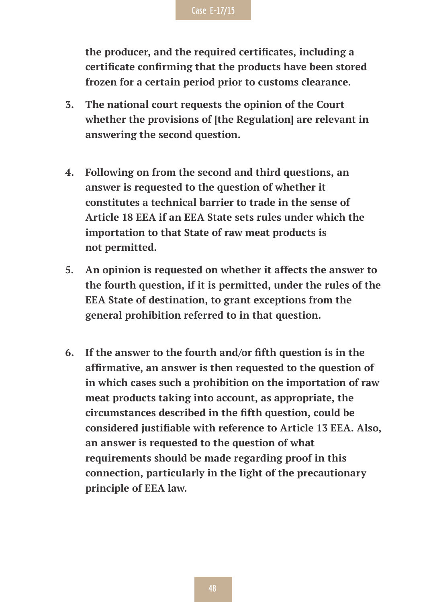

**the producer, and the required certificates, including a certificate confirming that the products have been stored frozen for a certain period prior to customs clearance.**

- **3. The national court requests the opinion of the Court whether the provisions of [the Regulation] are relevant in answering the second question.**
- **4. Following on from the second and third questions, an answer is requested to the question of whether it constitutes a technical barrier to trade in the sense of Article 18 EEA if an EEA State sets rules under which the importation to that State of raw meat products is not permitted.**
- **5. An opinion is requested on whether it affects the answer to the fourth question, if it is permitted, under the rules of the EEA State of destination, to grant exceptions from the general prohibition referred to in that question.**
- **6. If the answer to the fourth and/or fifth question is in the affirmative, an answer is then requested to the question of in which cases such a prohibition on the importation of raw meat products taking into account, as appropriate, the circumstances described in the fifth question, could be considered justifiable with reference to Article 13 EEA. Also, an answer is requested to the question of what requirements should be made regarding proof in this connection, particularly in the light of the precautionary principle of EEA law.**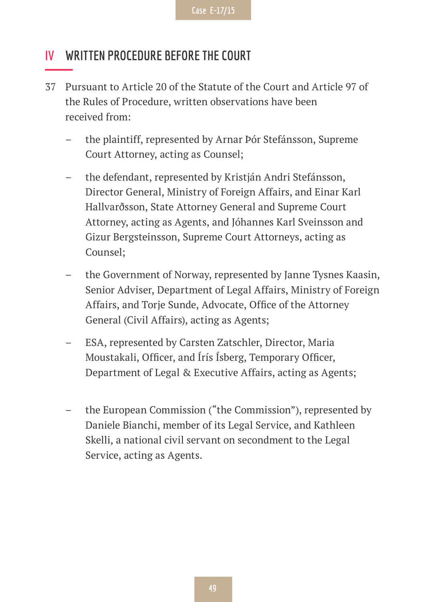### **IV WRITTEN PROCEDURE BEFORE THE COURT**

- 37 Pursuant to Article 20 of the Statute of the Court and Article 97 of the Rules of Procedure, written observations have been received from:
	- the plaintiff, represented by Arnar Þór Stefánsson, Supreme Court Attorney, acting as Counsel;
	- the defendant, represented by Kristján Andri Stefánsson, Director General, Ministry of Foreign Affairs, and Einar Karl Hallvarðsson, State Attorney General and Supreme Court Attorney, acting as Agents, and Jóhannes Karl Sveinsson and Gizur Bergsteinsson, Supreme Court Attorneys, acting as Counsel;
	- the Government of Norway, represented by Janne Tysnes Kaasin, Senior Adviser, Department of Legal Affairs, Ministry of Foreign Affairs, and Torje Sunde, Advocate, Office of the Attorney General (Civil Affairs), acting as Agents;
	- ESA, represented by Carsten Zatschler, Director, Maria Moustakali, Officer, and Írís Ísberg, Temporary Officer, Department of Legal & Executive Affairs, acting as Agents;
	- the European Commission ("the Commission"), represented by Daniele Bianchi, member of its Legal Service, and Kathleen Skelli, a national civil servant on secondment to the Legal Service, acting as Agents.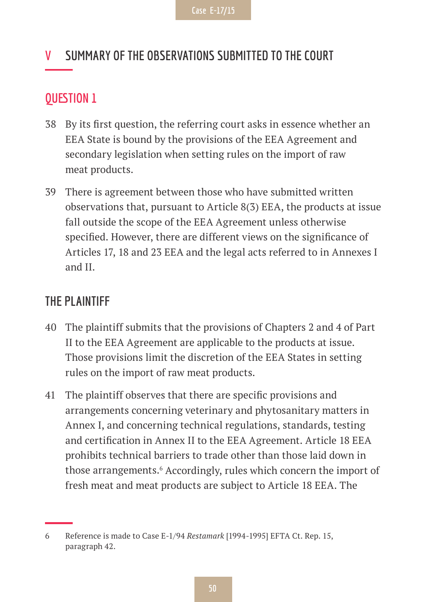# **V SUMMARY OF THE OBSERVATIONS SUBMITTED TO THE COURT**

### **QUESTION 1**

- 38 By its first question, the referring court asks in essence whether an EEA State is bound by the provisions of the EEA Agreement and secondary legislation when setting rules on the import of raw meat products.
- 39 There is agreement between those who have submitted written observations that, pursuant to Article 8(3) EEA, the products at issue fall outside the scope of the EEA Agreement unless otherwise specified. However, there are different views on the significance of Articles 17, 18 and 23 EEA and the legal acts referred to in Annexes I and II.

### **THE PLAINTIFF**

- 40 The plaintiff submits that the provisions of Chapters 2 and 4 of Part II to the EEA Agreement are applicable to the products at issue. Those provisions limit the discretion of the EEA States in setting rules on the import of raw meat products.
- 41 The plaintiff observes that there are specific provisions and arrangements concerning veterinary and phytosanitary matters in Annex I, and concerning technical regulations, standards, testing and certification in Annex II to the EEA Agreement. Article 18 EEA prohibits technical barriers to trade other than those laid down in those arrangements.<sup>6</sup> Accordingly, rules which concern the import of fresh meat and meat products are subject to Article 18 EEA. The

<sup>6</sup> Reference is made to Case E-1/94 *Restamark* [1994-1995] EFTA Ct. Rep. 15, paragraph 42.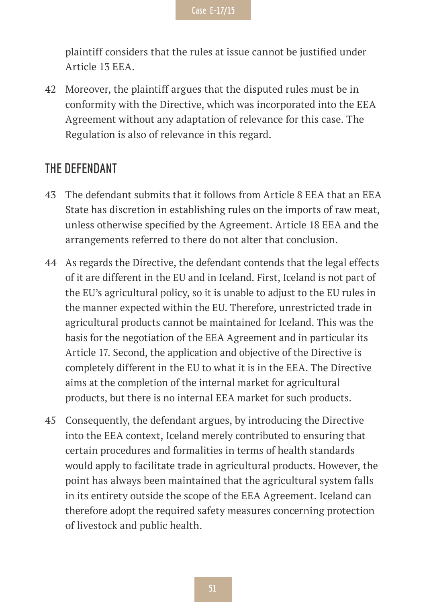plaintiff considers that the rules at issue cannot be justified under Article 13 EEA.

42 Moreover, the plaintiff argues that the disputed rules must be in conformity with the Directive, which was incorporated into the EEA Agreement without any adaptation of relevance for this case. The Regulation is also of relevance in this regard.

#### **THE DEFENDANT**

- 43 The defendant submits that it follows from Article 8 EEA that an EEA State has discretion in establishing rules on the imports of raw meat, unless otherwise specified by the Agreement. Article 18 EEA and the arrangements referred to there do not alter that conclusion.
- 44 As regards the Directive, the defendant contends that the legal effects of it are different in the EU and in Iceland. First, Iceland is not part of the EU's agricultural policy, so it is unable to adjust to the EU rules in the manner expected within the EU. Therefore, unrestricted trade in agricultural products cannot be maintained for Iceland. This was the basis for the negotiation of the EEA Agreement and in particular its Article 17. Second, the application and objective of the Directive is completely different in the EU to what it is in the EEA. The Directive aims at the completion of the internal market for agricultural products, but there is no internal EEA market for such products.
- 45 Consequently, the defendant argues, by introducing the Directive into the EEA context, Iceland merely contributed to ensuring that certain procedures and formalities in terms of health standards would apply to facilitate trade in agricultural products. However, the point has always been maintained that the agricultural system falls in its entirety outside the scope of the EEA Agreement. Iceland can therefore adopt the required safety measures concerning protection of livestock and public health.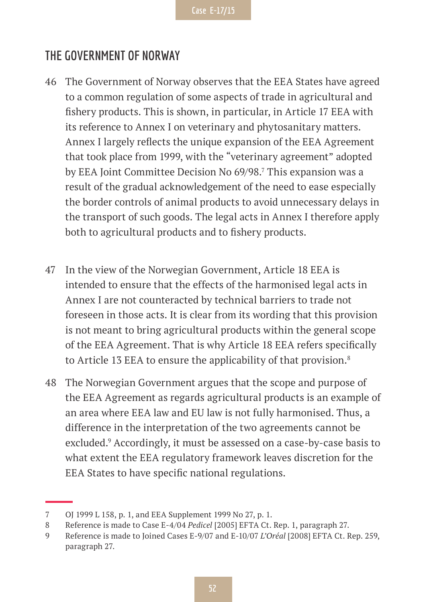### **THE GOVERNMENT OF NORWAY**

- 46 The Government of Norway observes that the EEA States have agreed to a common regulation of some aspects of trade in agricultural and fishery products. This is shown, in particular, in Article 17 EEA with its reference to Annex I on veterinary and phytosanitary matters. Annex I largely reflects the unique expansion of the EEA Agreement that took place from 1999, with the "veterinary agreement" adopted by EEA Joint Committee Decision No 69/98.7 This expansion was a result of the gradual acknowledgement of the need to ease especially the border controls of animal products to avoid unnecessary delays in the transport of such goods. The legal acts in Annex I therefore apply both to agricultural products and to fishery products.
- 47 In the view of the Norwegian Government, Article 18 EEA is intended to ensure that the effects of the harmonised legal acts in Annex I are not counteracted by technical barriers to trade not foreseen in those acts. It is clear from its wording that this provision is not meant to bring agricultural products within the general scope of the EEA Agreement. That is why Article 18 EEA refers specifically to Article 13 EEA to ensure the applicability of that provision.<sup>8</sup>
- 48 The Norwegian Government argues that the scope and purpose of the EEA Agreement as regards agricultural products is an example of an area where EEA law and EU law is not fully harmonised. Thus, a difference in the interpretation of the two agreements cannot be excluded.<sup>9</sup> Accordingly, it must be assessed on a case-by-case basis to what extent the EEA regulatory framework leaves discretion for the EEA States to have specific national regulations.

<sup>7</sup> OJ 1999 L 158, p. 1, and EEA Supplement 1999 No 27, p. 1.

<sup>8</sup> Reference is made to Case E-4/04 *Pedicel* [2005] EFTA Ct. Rep. 1, paragraph 27.

<sup>9</sup> Reference is made to Joined Cases E-9/07 and E-10/07 *L'Oréal* [2008] EFTA Ct. Rep. 259, paragraph 27.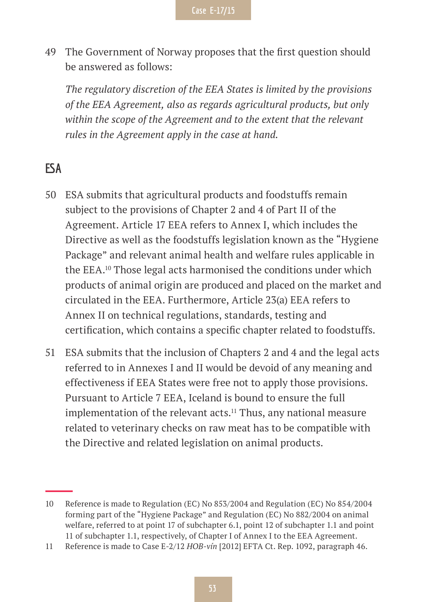49 The Government of Norway proposes that the first question should be answered as follows:

*The regulatory discretion of the EEA States is limited by the provisions of the EEA Agreement, also as regards agricultural products, but only within the scope of the Agreement and to the extent that the relevant rules in the Agreement apply in the case at hand.*

# **ESA**

- 50 ESA submits that agricultural products and foodstuffs remain subject to the provisions of Chapter 2 and 4 of Part II of the Agreement. Article 17 EEA refers to Annex I, which includes the Directive as well as the foodstuffs legislation known as the "Hygiene Package" and relevant animal health and welfare rules applicable in the EEA.10 Those legal acts harmonised the conditions under which products of animal origin are produced and placed on the market and circulated in the EEA. Furthermore, Article 23(a) EEA refers to Annex II on technical regulations, standards, testing and certification, which contains a specific chapter related to foodstuffs.
- 51 ESA submits that the inclusion of Chapters 2 and 4 and the legal acts referred to in Annexes I and II would be devoid of any meaning and effectiveness if EEA States were free not to apply those provisions. Pursuant to Article 7 EEA, Iceland is bound to ensure the full implementation of the relevant acts.<sup>11</sup> Thus, any national measure related to veterinary checks on raw meat has to be compatible with the Directive and related legislation on animal products.

<sup>10</sup> Reference is made to Regulation (EC) No 853/2004 and Regulation (EC) No 854/2004 forming part of the "Hygiene Package" and Regulation (EC) No 882/2004 on animal welfare, referred to at point 17 of subchapter 6.1, point 12 of subchapter 1.1 and point 11 of subchapter 1.1, respectively, of Chapter I of Annex I to the EEA Agreement.

<sup>11</sup> Reference is made to Case E-2/12 *HOB-vín* [2012] EFTA Ct. Rep. 1092, paragraph 46.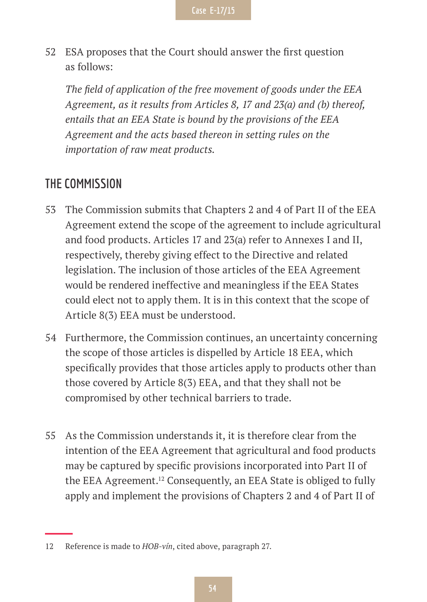52 ESA proposes that the Court should answer the first question as follows:

*The field of application of the free movement of goods under the EEA Agreement, as it results from Articles 8, 17 and 23(a) and (b) thereof, entails that an EEA State is bound by the provisions of the EEA Agreement and the acts based thereon in setting rules on the importation of raw meat products.*

# **THE COMMISSION**

- 53 The Commission submits that Chapters 2 and 4 of Part II of the EEA Agreement extend the scope of the agreement to include agricultural and food products. Articles 17 and 23(a) refer to Annexes I and II, respectively, thereby giving effect to the Directive and related legislation. The inclusion of those articles of the EEA Agreement would be rendered ineffective and meaningless if the EEA States could elect not to apply them. It is in this context that the scope of Article 8(3) EEA must be understood.
- 54 Furthermore, the Commission continues, an uncertainty concerning the scope of those articles is dispelled by Article 18 EEA, which specifically provides that those articles apply to products other than those covered by Article 8(3) EEA, and that they shall not be compromised by other technical barriers to trade.
- 55 As the Commission understands it, it is therefore clear from the intention of the EEA Agreement that agricultural and food products may be captured by specific provisions incorporated into Part II of the EEA Agreement.12 Consequently, an EEA State is obliged to fully apply and implement the provisions of Chapters 2 and 4 of Part II of

<sup>12</sup> Reference is made to *HOB-vín*, cited above, paragraph 27.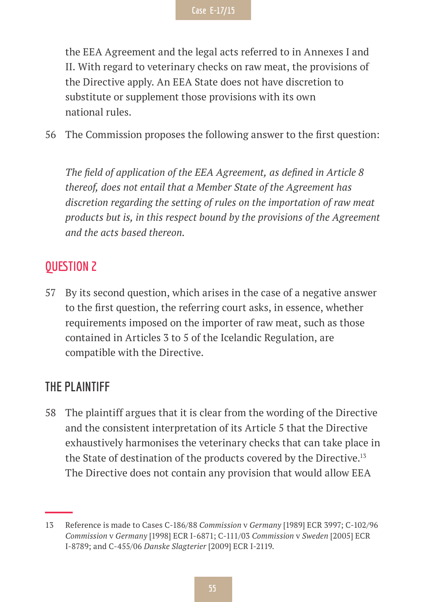the EEA Agreement and the legal acts referred to in Annexes I and II. With regard to veterinary checks on raw meat, the provisions of the Directive apply. An EEA State does not have discretion to substitute or supplement those provisions with its own national rules.

56 The Commission proposes the following answer to the first question:

*The field of application of the EEA Agreement, as defined in Article 8 thereof, does not entail that a Member State of the Agreement has discretion regarding the setting of rules on the importation of raw meat products but is, in this respect bound by the provisions of the Agreement and the acts based thereon.*

# **QUESTION 2**

57 By its second question, which arises in the case of a negative answer to the first question, the referring court asks, in essence, whether requirements imposed on the importer of raw meat, such as those contained in Articles 3 to 5 of the Icelandic Regulation, are compatible with the Directive.

# **THE PLAINTIFF**

58 The plaintiff argues that it is clear from the wording of the Directive and the consistent interpretation of its Article 5 that the Directive exhaustively harmonises the veterinary checks that can take place in the State of destination of the products covered by the Directive.<sup>13</sup> The Directive does not contain any provision that would allow EEA

<sup>13</sup> Reference is made to Cases C-186/88 *Commission* v *Germany* [1989] ECR 3997; C-102/96 *Commission* v *Germany* [1998] ECR I-6871; C-111/03 *Commission* v *Sweden* [2005] ECR I-8789; and C-455/06 *Danske Slagterier* [2009] ECR I-2119.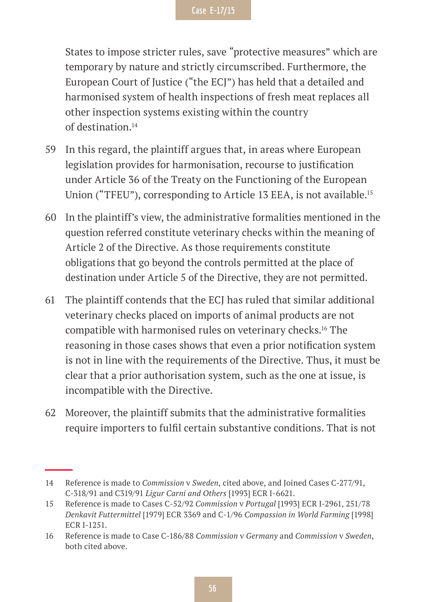States to impose stricter rules, save "protective measures" which are temporary by nature and strictly circumscribed. Furthermore, the European Court of Justice ("the ECJ") has held that a detailed and harmonised system of health inspections of fresh meat replaces all other inspection systems existing within the country of destination.14

- 59 In this regard, the plaintiff argues that, in areas where European legislation provides for harmonisation, recourse to justification under Article 36 of the Treaty on the Functioning of the European Union ("TFEU"), corresponding to Article 13 EEA, is not available.<sup>15</sup>
- 60 In the plaintiff's view, the administrative formalities mentioned in the question referred constitute veterinary checks within the meaning of Article 2 of the Directive. As those requirements constitute obligations that go beyond the controls permitted at the place of destination under Article 5 of the Directive, they are not permitted.
- 61 The plaintiff contends that the ECJ has ruled that similar additional veterinary checks placed on imports of animal products are not compatible with harmonised rules on veterinary checks.16 The reasoning in those cases shows that even a prior notification system is not in line with the requirements of the Directive. Thus, it must be clear that a prior authorisation system, such as the one at issue, is incompatible with the Directive.
- 62 Moreover, the plaintiff submits that the administrative formalities require importers to fulfil certain substantive conditions. That is not

<sup>14</sup> Reference is made to *Commission* v *Sweden*, cited above, and Joined Cases C-277/91, C-318/91 and C319/91 *Ligur Carni and Others* [1993] ECR I-6621.

<sup>15</sup> Reference is made to Cases C-52/92 *Commission* v *Portugal* [1993] ECR I-2961, 251/78 *Denkavit Futtermittel* [1979] ECR 3369 and C-1/96 *Compassion in World Farming* [1998] ECR I-1251.

<sup>16</sup> Reference is made to Case C-186/88 *Commission* v *Germany* and *Commission* v *Sweden*, both cited above.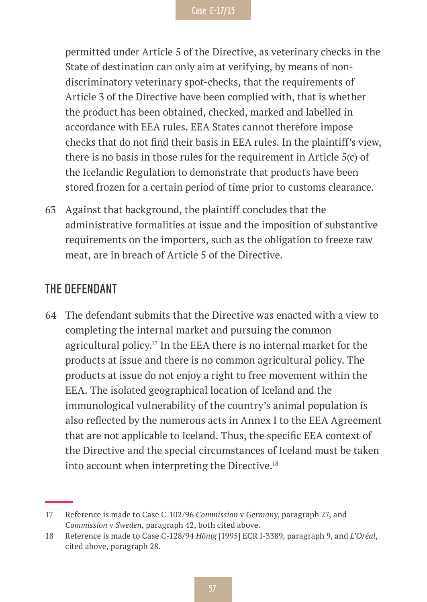permitted under Article 5 of the Directive, as veterinary checks in the State of destination can only aim at verifying, by means of nondiscriminatory veterinary spot-checks, that the requirements of Article 3 of the Directive have been complied with, that is whether the product has been obtained, checked, marked and labelled in accordance with EEA rules. EEA States cannot therefore impose checks that do not find their basis in EEA rules. In the plaintiff's view, there is no basis in those rules for the requirement in Article 5(c) of the Icelandic Regulation to demonstrate that products have been stored frozen for a certain period of time prior to customs clearance.

63 Against that background, the plaintiff concludes that the administrative formalities at issue and the imposition of substantive requirements on the importers, such as the obligation to freeze raw meat, are in breach of Article 5 of the Directive.

#### **THE DEFENDANT**

64 The defendant submits that the Directive was enacted with a view to completing the internal market and pursuing the common agricultural policy.17 In the EEA there is no internal market for the products at issue and there is no common agricultural policy. The products at issue do not enjoy a right to free movement within the EEA. The isolated geographical location of Iceland and the immunological vulnerability of the country's animal population is also reflected by the numerous acts in Annex I to the EEA Agreement that are not applicable to Iceland. Thus, the specific EEA context of the Directive and the special circumstances of Iceland must be taken into account when interpreting the Directive.<sup>18</sup>

<sup>17</sup> Reference is made to Case C-102/96 *Commission* v *Germany*, paragraph 27, and *Commission* v *Sweden*, paragraph 42, both cited above.

<sup>18</sup> Reference is made to Case C-128/94 *Hönig* [1995] ECR I-3389, paragraph 9, and *L'Oréal*, cited above, paragraph 28.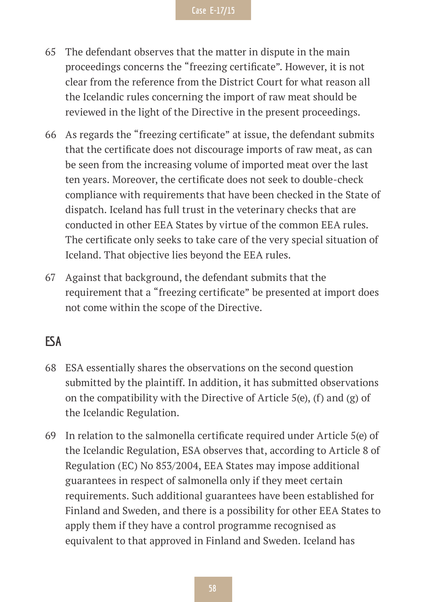- 65 The defendant observes that the matter in dispute in the main proceedings concerns the "freezing certificate". However, it is not clear from the reference from the District Court for what reason all the Icelandic rules concerning the import of raw meat should be reviewed in the light of the Directive in the present proceedings.
- 66 As regards the "freezing certificate" at issue, the defendant submits that the certificate does not discourage imports of raw meat, as can be seen from the increasing volume of imported meat over the last ten years. Moreover, the certificate does not seek to double-check compliance with requirements that have been checked in the State of dispatch. Iceland has full trust in the veterinary checks that are conducted in other EEA States by virtue of the common EEA rules. The certificate only seeks to take care of the very special situation of Iceland. That objective lies beyond the EEA rules.
- 67 Against that background, the defendant submits that the requirement that a "freezing certificate" be presented at import does not come within the scope of the Directive.

### **ESA**

- 68 ESA essentially shares the observations on the second question submitted by the plaintiff. In addition, it has submitted observations on the compatibility with the Directive of Article  $5(e)$ , (f) and (g) of the Icelandic Regulation.
- 69 In relation to the salmonella certificate required under Article 5(e) of the Icelandic Regulation, ESA observes that, according to Article 8 of Regulation (EC) No 853/2004, EEA States may impose additional guarantees in respect of salmonella only if they meet certain requirements. Such additional guarantees have been established for Finland and Sweden, and there is a possibility for other EEA States to apply them if they have a control programme recognised as equivalent to that approved in Finland and Sweden. Iceland has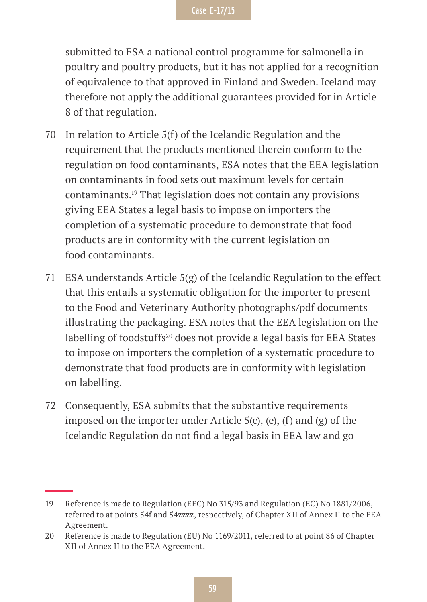submitted to ESA a national control programme for salmonella in poultry and poultry products, but it has not applied for a recognition of equivalence to that approved in Finland and Sweden. Iceland may therefore not apply the additional guarantees provided for in Article 8 of that regulation.

- 70 In relation to Article 5(f) of the Icelandic Regulation and the requirement that the products mentioned therein conform to the regulation on food contaminants, ESA notes that the EEA legislation on contaminants in food sets out maximum levels for certain contaminants.19 That legislation does not contain any provisions giving EEA States a legal basis to impose on importers the completion of a systematic procedure to demonstrate that food products are in conformity with the current legislation on food contaminants.
- 71 ESA understands Article 5(g) of the Icelandic Regulation to the effect that this entails a systematic obligation for the importer to present to the Food and Veterinary Authority photographs/pdf documents illustrating the packaging. ESA notes that the EEA legislation on the labelling of foodstuffs<sup>20</sup> does not provide a legal basis for EEA States to impose on importers the completion of a systematic procedure to demonstrate that food products are in conformity with legislation on labelling.
- 72 Consequently, ESA submits that the substantive requirements imposed on the importer under Article  $5(c)$ ,  $(e)$ ,  $(f)$  and  $(g)$  of the Icelandic Regulation do not find a legal basis in EEA law and go

<sup>19</sup> Reference is made to Regulation (EEC) No 315/93 and Regulation (EC) No 1881/2006, referred to at points 54f and 54zzzz, respectively, of Chapter XII of Annex II to the EEA Agreement.

<sup>20</sup> Reference is made to Regulation (EU) No 1169/2011, referred to at point 86 of Chapter XII of Annex II to the EEA Agreement.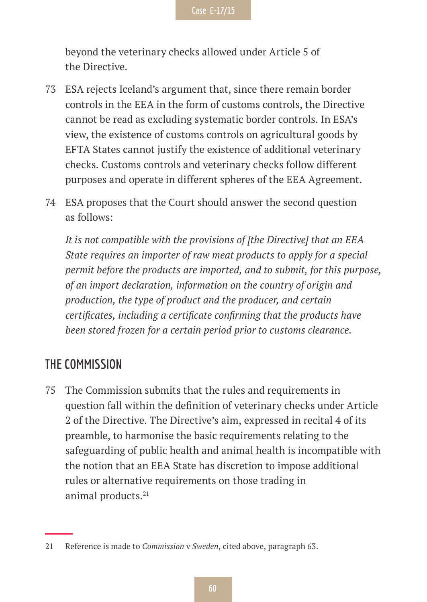beyond the veterinary checks allowed under Article 5 of the Directive.

- 73 ESA rejects Iceland's argument that, since there remain border controls in the EEA in the form of customs controls, the Directive cannot be read as excluding systematic border controls. In ESA's view, the existence of customs controls on agricultural goods by EFTA States cannot justify the existence of additional veterinary checks. Customs controls and veterinary checks follow different purposes and operate in different spheres of the EEA Agreement.
- 74 ESA proposes that the Court should answer the second question as follows:

*It is not compatible with the provisions of [the Directive] that an EEA State requires an importer of raw meat products to apply for a special permit before the products are imported, and to submit, for this purpose, of an import declaration, information on the country of origin and production, the type of product and the producer, and certain certificates, including a certificate confirming that the products have been stored frozen for a certain period prior to customs clearance.*

### **THE COMMISSION**

75 The Commission submits that the rules and requirements in question fall within the definition of veterinary checks under Article 2 of the Directive. The Directive's aim, expressed in recital 4 of its preamble, to harmonise the basic requirements relating to the safeguarding of public health and animal health is incompatible with the notion that an EEA State has discretion to impose additional rules or alternative requirements on those trading in animal products.<sup>21</sup>

<sup>21</sup> Reference is made to *Commission* v *Sweden*, cited above, paragraph 63.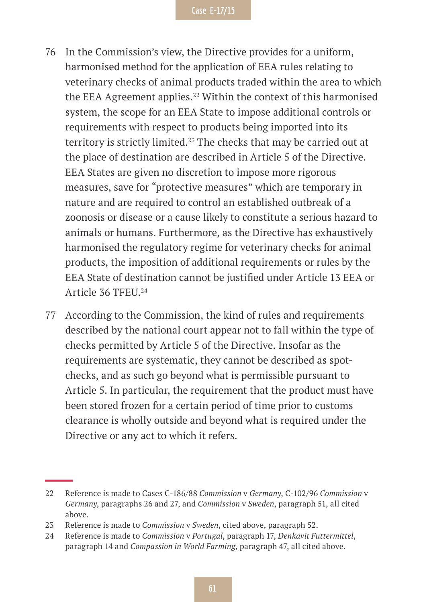- 76 In the Commission's view, the Directive provides for a uniform, harmonised method for the application of EEA rules relating to veterinary checks of animal products traded within the area to which the EEA Agreement applies.<sup>22</sup> Within the context of this harmonised system, the scope for an EEA State to impose additional controls or requirements with respect to products being imported into its territory is strictly limited.<sup>23</sup> The checks that may be carried out at the place of destination are described in Article 5 of the Directive. EEA States are given no discretion to impose more rigorous measures, save for "protective measures" which are temporary in nature and are required to control an established outbreak of a zoonosis or disease or a cause likely to constitute a serious hazard to animals or humans. Furthermore, as the Directive has exhaustively harmonised the regulatory regime for veterinary checks for animal products, the imposition of additional requirements or rules by the EEA State of destination cannot be justified under Article 13 EEA or Article 36 TFEU.24
- 77 According to the Commission, the kind of rules and requirements described by the national court appear not to fall within the type of checks permitted by Article 5 of the Directive. Insofar as the requirements are systematic, they cannot be described as spotchecks, and as such go beyond what is permissible pursuant to Article 5. In particular, the requirement that the product must have been stored frozen for a certain period of time prior to customs clearance is wholly outside and beyond what is required under the Directive or any act to which it refers.

<sup>22</sup> Reference is made to Cases C-186/88 *Commission* v *Germany*, C-102/96 *Commission* v *Germany*, paragraphs 26 and 27, and *Commission* v *Sweden*, paragraph 51, all cited above.

<sup>23</sup> Reference is made to *Commission* v *Sweden*, cited above, paragraph 52.

<sup>24</sup> Reference is made to *Commission* v *Portugal*, paragraph 17, *Denkavit Futtermittel*, paragraph 14 and *Compassion in World Farming*, paragraph 47, all cited above.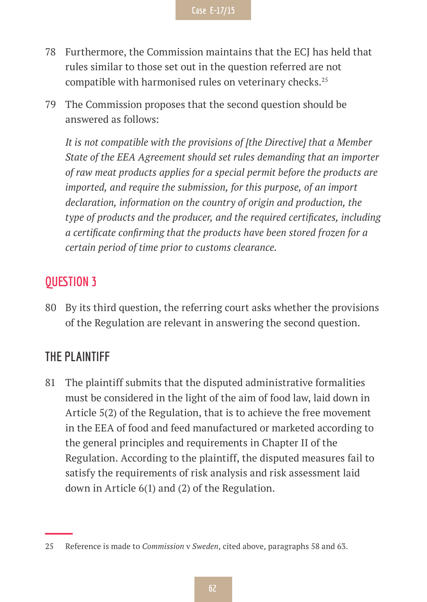- 78 Furthermore, the Commission maintains that the ECJ has held that rules similar to those set out in the question referred are not compatible with harmonised rules on veterinary checks.<sup>25</sup>
- 79 The Commission proposes that the second question should be answered as follows:

*It is not compatible with the provisions of [the Directive] that a Member State of the EEA Agreement should set rules demanding that an importer of raw meat products applies for a special permit before the products are imported, and require the submission, for this purpose, of an import declaration, information on the country of origin and production, the type of products and the producer, and the required certificates, including a certificate confirming that the products have been stored frozen for a certain period of time prior to customs clearance.*

# **QUESTION 3**

80 By its third question, the referring court asks whether the provisions of the Regulation are relevant in answering the second question.

# **THE PLAINTIFF**

81 The plaintiff submits that the disputed administrative formalities must be considered in the light of the aim of food law, laid down in Article 5(2) of the Regulation, that is to achieve the free movement in the EEA of food and feed manufactured or marketed according to the general principles and requirements in Chapter II of the Regulation. According to the plaintiff, the disputed measures fail to satisfy the requirements of risk analysis and risk assessment laid down in Article 6(1) and (2) of the Regulation.

<sup>25</sup> Reference is made to *Commission* v *Sweden*, cited above, paragraphs 58 and 63.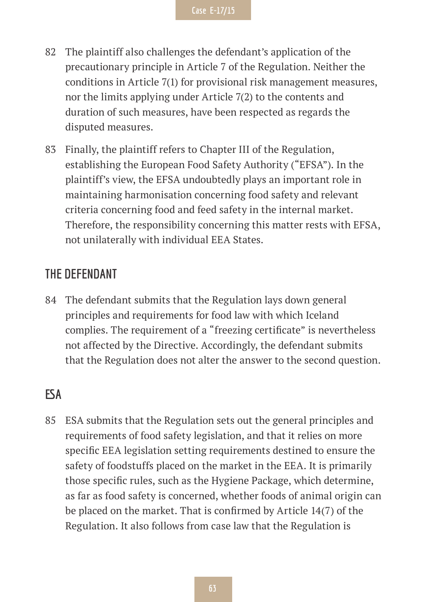- 82 The plaintiff also challenges the defendant's application of the precautionary principle in Article 7 of the Regulation. Neither the conditions in Article 7(1) for provisional risk management measures, nor the limits applying under Article 7(2) to the contents and duration of such measures, have been respected as regards the disputed measures.
- 83 Finally, the plaintiff refers to Chapter III of the Regulation, establishing the European Food Safety Authority ("EFSA"). In the plaintiff's view, the EFSA undoubtedly plays an important role in maintaining harmonisation concerning food safety and relevant criteria concerning food and feed safety in the internal market. Therefore, the responsibility concerning this matter rests with EFSA, not unilaterally with individual EEA States.

### **THE DEFENDANT**

84 The defendant submits that the Regulation lays down general principles and requirements for food law with which Iceland complies. The requirement of a "freezing certificate" is nevertheless not affected by the Directive. Accordingly, the defendant submits that the Regulation does not alter the answer to the second question.

# **ESA**

85 ESA submits that the Regulation sets out the general principles and requirements of food safety legislation, and that it relies on more specific EEA legislation setting requirements destined to ensure the safety of foodstuffs placed on the market in the EEA. It is primarily those specific rules, such as the Hygiene Package, which determine, as far as food safety is concerned, whether foods of animal origin can be placed on the market. That is confirmed by Article 14(7) of the Regulation. It also follows from case law that the Regulation is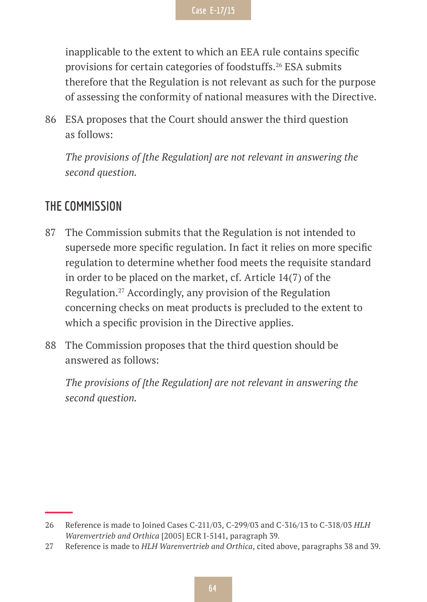inapplicable to the extent to which an EEA rule contains specific provisions for certain categories of foodstuffs.<sup>26</sup> ESA submits therefore that the Regulation is not relevant as such for the purpose of assessing the conformity of national measures with the Directive.

86 ESA proposes that the Court should answer the third question as follows:

*The provisions of [the Regulation] are not relevant in answering the second question.*

### **THE COMMISSION**

- 87 The Commission submits that the Regulation is not intended to supersede more specific regulation. In fact it relies on more specific regulation to determine whether food meets the requisite standard in order to be placed on the market, cf. Article 14(7) of the Regulation.27 Accordingly, any provision of the Regulation concerning checks on meat products is precluded to the extent to which a specific provision in the Directive applies.
- 88 The Commission proposes that the third question should be answered as follows:

*The provisions of [the Regulation] are not relevant in answering the second question.*

<sup>26</sup> Reference is made to Joined Cases C-211/03, C-299/03 and C-316/13 to C-318/03 *HLH Warenvertrieb and Orthica* [2005] ECR I-5141, paragraph 39.

<sup>27</sup> Reference is made to *HLH Warenvertrieb and Orthica*, cited above, paragraphs 38 and 39.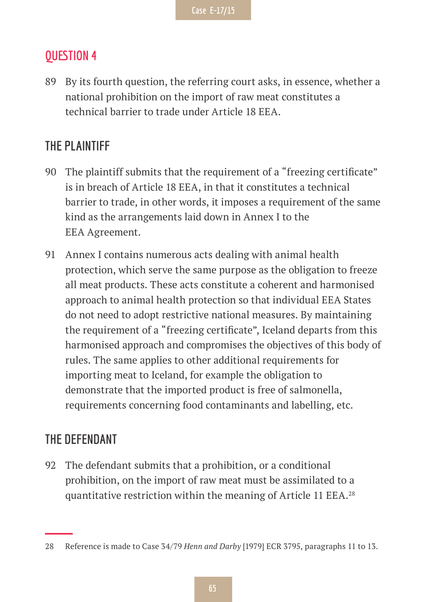### **QUESTION 4**

89 By its fourth question, the referring court asks, in essence, whether a national prohibition on the import of raw meat constitutes a technical barrier to trade under Article 18 EEA.

# **THE PLAINTIFF**

- 90 The plaintiff submits that the requirement of a "freezing certificate" is in breach of Article 18 EEA, in that it constitutes a technical barrier to trade, in other words, it imposes a requirement of the same kind as the arrangements laid down in Annex I to the EEA Agreement.
- 91 Annex I contains numerous acts dealing with animal health protection, which serve the same purpose as the obligation to freeze all meat products. These acts constitute a coherent and harmonised approach to animal health protection so that individual EEA States do not need to adopt restrictive national measures. By maintaining the requirement of a "freezing certificate", Iceland departs from this harmonised approach and compromises the objectives of this body of rules. The same applies to other additional requirements for importing meat to Iceland, for example the obligation to demonstrate that the imported product is free of salmonella, requirements concerning food contaminants and labelling, etc.

### **THE DEFENDANT**

92 The defendant submits that a prohibition, or a conditional prohibition, on the import of raw meat must be assimilated to a quantitative restriction within the meaning of Article 11 EEA.<sup>28</sup>

<sup>28</sup> Reference is made to Case 34/79 *Henn and Darby* [1979] ECR 3795, paragraphs 11 to 13.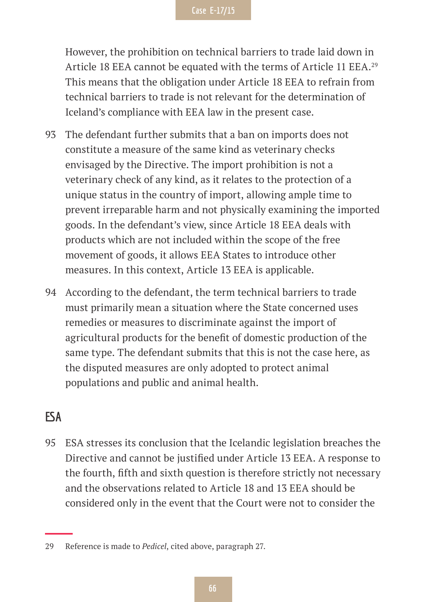However, the prohibition on technical barriers to trade laid down in Article 18 EEA cannot be equated with the terms of Article 11 EEA.<sup>29</sup> This means that the obligation under Article 18 EEA to refrain from technical barriers to trade is not relevant for the determination of Iceland's compliance with EEA law in the present case.

- 93 The defendant further submits that a ban on imports does not constitute a measure of the same kind as veterinary checks envisaged by the Directive. The import prohibition is not a veterinary check of any kind, as it relates to the protection of a unique status in the country of import, allowing ample time to prevent irreparable harm and not physically examining the imported goods. In the defendant's view, since Article 18 EEA deals with products which are not included within the scope of the free movement of goods, it allows EEA States to introduce other measures. In this context, Article 13 EEA is applicable.
- 94 According to the defendant, the term technical barriers to trade must primarily mean a situation where the State concerned uses remedies or measures to discriminate against the import of agricultural products for the benefit of domestic production of the same type. The defendant submits that this is not the case here, as the disputed measures are only adopted to protect animal populations and public and animal health.

# **ESA**

95 ESA stresses its conclusion that the Icelandic legislation breaches the Directive and cannot be justified under Article 13 EEA. A response to the fourth, fifth and sixth question is therefore strictly not necessary and the observations related to Article 18 and 13 EEA should be considered only in the event that the Court were not to consider the

<sup>29</sup> Reference is made to *Pedicel*, cited above, paragraph 27.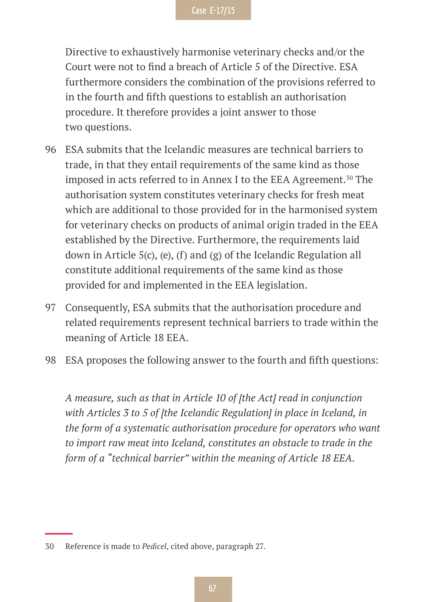Directive to exhaustively harmonise veterinary checks and/or the Court were not to find a breach of Article 5 of the Directive. ESA furthermore considers the combination of the provisions referred to in the fourth and fifth questions to establish an authorisation procedure. It therefore provides a joint answer to those two questions.

- 96 ESA submits that the Icelandic measures are technical barriers to trade, in that they entail requirements of the same kind as those imposed in acts referred to in Annex I to the EEA Agreement.<sup>30</sup> The authorisation system constitutes veterinary checks for fresh meat which are additional to those provided for in the harmonised system for veterinary checks on products of animal origin traded in the EEA established by the Directive. Furthermore, the requirements laid down in Article 5(c), (e), (f) and (g) of the Icelandic Regulation all constitute additional requirements of the same kind as those provided for and implemented in the EEA legislation.
- 97 Consequently, ESA submits that the authorisation procedure and related requirements represent technical barriers to trade within the meaning of Article 18 EEA.
- 98 ESA proposes the following answer to the fourth and fifth questions:

*A measure, such as that in Article 10 of [the Act] read in conjunction with Articles 3 to 5 of [the Icelandic Regulation] in place in Iceland, in the form of a systematic authorisation procedure for operators who want to import raw meat into Iceland, constitutes an obstacle to trade in the form of a "technical barrier" within the meaning of Article 18 EEA.*

<sup>30</sup> Reference is made to *Pedicel*, cited above, paragraph 27.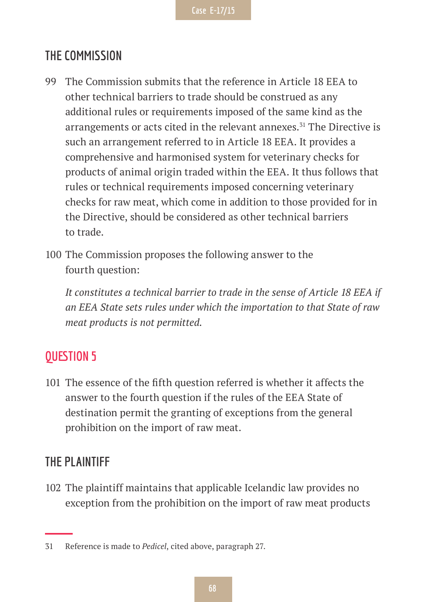# **THE COMMISSION**

- 99 The Commission submits that the reference in Article 18 EEA to other technical barriers to trade should be construed as any additional rules or requirements imposed of the same kind as the arrangements or acts cited in the relevant annexes.<sup>31</sup> The Directive is such an arrangement referred to in Article 18 EEA. It provides a comprehensive and harmonised system for veterinary checks for products of animal origin traded within the EEA. It thus follows that rules or technical requirements imposed concerning veterinary checks for raw meat, which come in addition to those provided for in the Directive, should be considered as other technical barriers to trade.
- 100 The Commission proposes the following answer to the fourth question:

*It constitutes a technical barrier to trade in the sense of Article 18 EEA if an EEA State sets rules under which the importation to that State of raw meat products is not permitted.*

# **QUESTION 5**

101 The essence of the fifth question referred is whether it affects the answer to the fourth question if the rules of the EEA State of destination permit the granting of exceptions from the general prohibition on the import of raw meat.

# **THE PLAINTIFF**

102 The plaintiff maintains that applicable Icelandic law provides no exception from the prohibition on the import of raw meat products

<sup>31</sup> Reference is made to *Pedicel*, cited above, paragraph 27.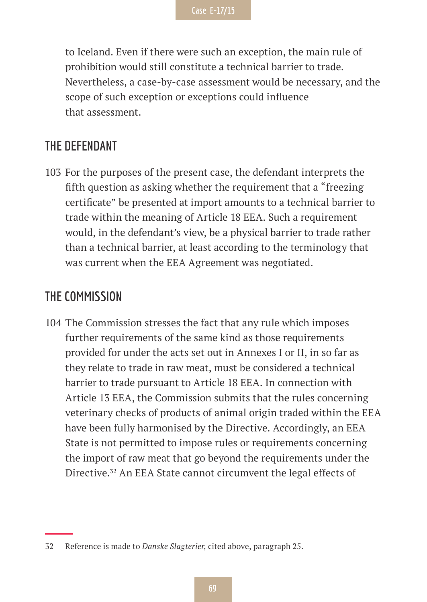to Iceland. Even if there were such an exception, the main rule of prohibition would still constitute a technical barrier to trade. Nevertheless, a case-by-case assessment would be necessary, and the scope of such exception or exceptions could influence that assessment.

### **THE DEFENDANT**

103 For the purposes of the present case, the defendant interprets the fifth question as asking whether the requirement that a "freezing certificate" be presented at import amounts to a technical barrier to trade within the meaning of Article 18 EEA. Such a requirement would, in the defendant's view, be a physical barrier to trade rather than a technical barrier, at least according to the terminology that was current when the EEA Agreement was negotiated.

### **THE COMMISSION**

104 The Commission stresses the fact that any rule which imposes further requirements of the same kind as those requirements provided for under the acts set out in Annexes I or II, in so far as they relate to trade in raw meat, must be considered a technical barrier to trade pursuant to Article 18 EEA. In connection with Article 13 EEA, the Commission submits that the rules concerning veterinary checks of products of animal origin traded within the EEA have been fully harmonised by the Directive. Accordingly, an EEA State is not permitted to impose rules or requirements concerning the import of raw meat that go beyond the requirements under the Directive.<sup>32</sup> An EEA State cannot circumvent the legal effects of

<sup>32</sup> Reference is made to *Danske Slagterier*, cited above, paragraph 25.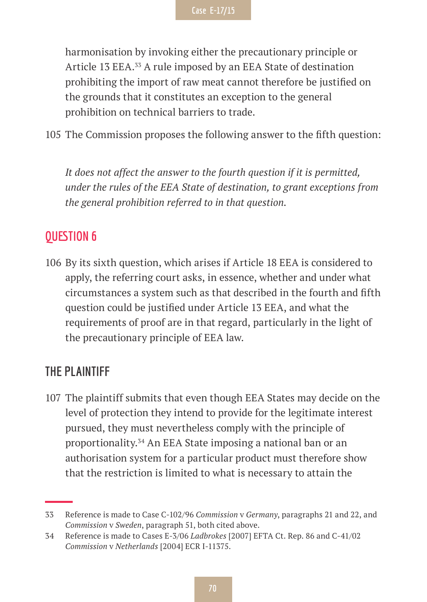harmonisation by invoking either the precautionary principle or Article 13 EEA.33 A rule imposed by an EEA State of destination prohibiting the import of raw meat cannot therefore be justified on the grounds that it constitutes an exception to the general prohibition on technical barriers to trade.

105 The Commission proposes the following answer to the fifth question:

*It does not affect the answer to the fourth question if it is permitted, under the rules of the EEA State of destination, to grant exceptions from the general prohibition referred to in that question.*

# **QUESTION 6**

106 By its sixth question, which arises if Article 18 EEA is considered to apply, the referring court asks, in essence, whether and under what circumstances a system such as that described in the fourth and fifth question could be justified under Article 13 EEA, and what the requirements of proof are in that regard, particularly in the light of the precautionary principle of EEA law.

# **THE PLAINTIFF**

107 The plaintiff submits that even though EEA States may decide on the level of protection they intend to provide for the legitimate interest pursued, they must nevertheless comply with the principle of proportionality.34 An EEA State imposing a national ban or an authorisation system for a particular product must therefore show that the restriction is limited to what is necessary to attain the

<sup>33</sup> Reference is made to Case C-102/96 *Commission* v *Germany*, paragraphs 21 and 22, and *Commission* v *Sweden*, paragraph 51, both cited above.

<sup>34</sup> Reference is made to Cases E-3/06 *Ladbrokes* [2007] EFTA Ct. Rep. 86 and C-41/02 *Commission* v *Netherlands* [2004] ECR I-11375.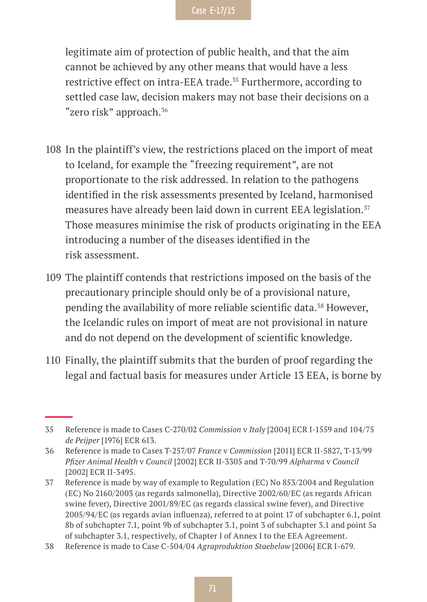legitimate aim of protection of public health, and that the aim cannot be achieved by any other means that would have a less restrictive effect on intra-EEA trade.<sup>35</sup> Furthermore, according to settled case law, decision makers may not base their decisions on a "zero risk" approach.36

- 108 In the plaintiff's view, the restrictions placed on the import of meat to Iceland, for example the "freezing requirement", are not proportionate to the risk addressed. In relation to the pathogens identified in the risk assessments presented by Iceland, harmonised measures have already been laid down in current EEA legislation.<sup>37</sup> Those measures minimise the risk of products originating in the EEA introducing a number of the diseases identified in the risk assessment.
- 109 The plaintiff contends that restrictions imposed on the basis of the precautionary principle should only be of a provisional nature, pending the availability of more reliable scientific data.<sup>38</sup> However, the Icelandic rules on import of meat are not provisional in nature and do not depend on the development of scientific knowledge.
- 110 Finally, the plaintiff submits that the burden of proof regarding the legal and factual basis for measures under Article 13 EEA, is borne by

<sup>35</sup> Reference is made to Cases C-270/02 *Commission* v *Italy* [2004] ECR I-1559 and 104/75 *de Peijper* [1976] ECR 613.

<sup>36</sup> Reference is made to Cases T-257/07 *France* v *Commission* [2011] ECR II-5827, T-13/99 *Pfizer Animal Health* v *Council* [2002] ECR II-3305 and T-70/99 *Alpharma* v *Council*  [2002] ECR II-3495.

<sup>37</sup> Reference is made by way of example to Regulation (EC) No 853/2004 and Regulation (EC) No 2160/2003 (as regards salmonella), Directive 2002/60/EC (as regards African swine fever), Directive 2001/89/EC (as regards classical swine fever), and Directive 2005/94/EC (as regards avian influenza), referred to at point 17 of subchapter 6.1, point 8b of subchapter 7.1, point 9b of subchapter 3.1, point 3 of subchapter 3.1 and point 5a of subchapter 3.1, respectively, of Chapter I of Annex I to the EEA Agreement.

<sup>38</sup> Reference is made to Case C-504/04 *Agraproduktion Staebelow* [2006] ECR I-679.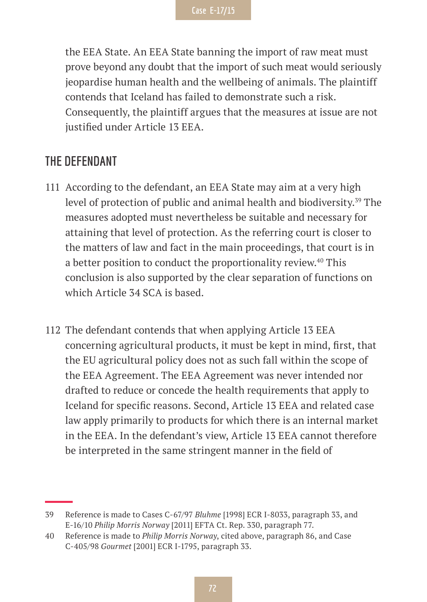the EEA State. An EEA State banning the import of raw meat must prove beyond any doubt that the import of such meat would seriously jeopardise human health and the wellbeing of animals. The plaintiff contends that Iceland has failed to demonstrate such a risk. Consequently, the plaintiff argues that the measures at issue are not justified under Article 13 EEA.

### **THE DEFENDANT**

- 111 According to the defendant, an EEA State may aim at a very high level of protection of public and animal health and biodiversity.<sup>39</sup> The measures adopted must nevertheless be suitable and necessary for attaining that level of protection. As the referring court is closer to the matters of law and fact in the main proceedings, that court is in a better position to conduct the proportionality review.<sup>40</sup> This conclusion is also supported by the clear separation of functions on which Article 34 SCA is based.
- 112 The defendant contends that when applying Article 13 EEA concerning agricultural products, it must be kept in mind, first, that the EU agricultural policy does not as such fall within the scope of the EEA Agreement. The EEA Agreement was never intended nor drafted to reduce or concede the health requirements that apply to Iceland for specific reasons. Second, Article 13 EEA and related case law apply primarily to products for which there is an internal market in the EEA. In the defendant's view, Article 13 EEA cannot therefore be interpreted in the same stringent manner in the field of

<sup>39</sup> Reference is made to Cases C-67/97 *Bluhme* [1998] ECR I-8033, paragraph 33, and E-16/10 *Philip Morris Norway* [2011] EFTA Ct. Rep. 330, paragraph 77.

<sup>40</sup> Reference is made to *Philip Morris Norway*, cited above, paragraph 86, and Case C-405/98 *Gourmet* [2001] ECR I-1795, paragraph 33.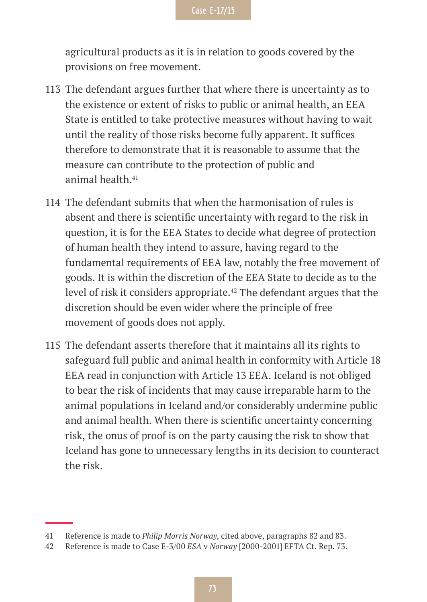agricultural products as it is in relation to goods covered by the provisions on free movement.

- 113 The defendant argues further that where there is uncertainty as to the existence or extent of risks to public or animal health, an EEA State is entitled to take protective measures without having to wait until the reality of those risks become fully apparent. It suffices therefore to demonstrate that it is reasonable to assume that the measure can contribute to the protection of public and animal health.<sup>41</sup>
- 114 The defendant submits that when the harmonisation of rules is absent and there is scientific uncertainty with regard to the risk in question, it is for the EEA States to decide what degree of protection of human health they intend to assure, having regard to the fundamental requirements of EEA law, notably the free movement of goods. It is within the discretion of the EEA State to decide as to the level of risk it considers appropriate.<sup>42</sup> The defendant argues that the discretion should be even wider where the principle of free movement of goods does not apply.
- 115 The defendant asserts therefore that it maintains all its rights to safeguard full public and animal health in conformity with Article 18 EEA read in conjunction with Article 13 EEA. Iceland is not obliged to bear the risk of incidents that may cause irreparable harm to the animal populations in Iceland and/or considerably undermine public and animal health. When there is scientific uncertainty concerning risk, the onus of proof is on the party causing the risk to show that Iceland has gone to unnecessary lengths in its decision to counteract the risk.

<sup>41</sup> Reference is made to *Philip Morris Norway*, cited above, paragraphs 82 and 83.

<sup>42</sup> Reference is made to Case E-3/00 *ESA* v *Norway* [2000-2001] EFTA Ct. Rep. 73.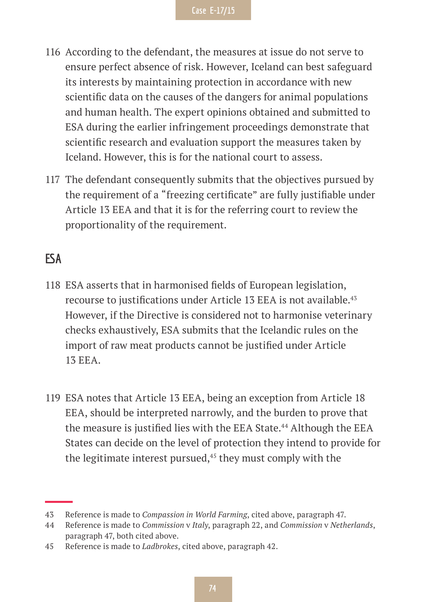- 116 According to the defendant, the measures at issue do not serve to ensure perfect absence of risk. However, Iceland can best safeguard its interests by maintaining protection in accordance with new scientific data on the causes of the dangers for animal populations and human health. The expert opinions obtained and submitted to ESA during the earlier infringement proceedings demonstrate that scientific research and evaluation support the measures taken by Iceland. However, this is for the national court to assess.
- 117 The defendant consequently submits that the objectives pursued by the requirement of a "freezing certificate" are fully justifiable under Article 13 EEA and that it is for the referring court to review the proportionality of the requirement.

## **ESA**

- 118 ESA asserts that in harmonised fields of European legislation, recourse to justifications under Article 13 EEA is not available.<sup>43</sup> However, if the Directive is considered not to harmonise veterinary checks exhaustively, ESA submits that the Icelandic rules on the import of raw meat products cannot be justified under Article 13 EEA.
- 119 ESA notes that Article 13 EEA, being an exception from Article 18 EEA, should be interpreted narrowly, and the burden to prove that the measure is justified lies with the EEA State.<sup>44</sup> Although the EEA States can decide on the level of protection they intend to provide for the legitimate interest pursued, $45$  they must comply with the

<sup>43</sup> Reference is made to *Compassion in World Farming*, cited above, paragraph 47.

<sup>44</sup> Reference is made to *Commission* v *Italy*, paragraph 22, and *Commission* v *Netherlands*, paragraph 47, both cited above.

<sup>45</sup> Reference is made to *Ladbrokes*, cited above, paragraph 42.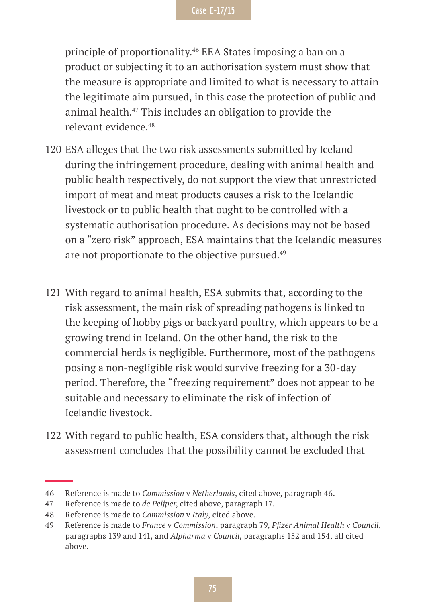principle of proportionality.46 EEA States imposing a ban on a product or subjecting it to an authorisation system must show that the measure is appropriate and limited to what is necessary to attain the legitimate aim pursued, in this case the protection of public and animal health.47 This includes an obligation to provide the relevant evidence.48

- 120 ESA alleges that the two risk assessments submitted by Iceland during the infringement procedure, dealing with animal health and public health respectively, do not support the view that unrestricted import of meat and meat products causes a risk to the Icelandic livestock or to public health that ought to be controlled with a systematic authorisation procedure. As decisions may not be based on a "zero risk" approach, ESA maintains that the Icelandic measures are not proportionate to the objective pursued.<sup>49</sup>
- 121 With regard to animal health, ESA submits that, according to the risk assessment, the main risk of spreading pathogens is linked to the keeping of hobby pigs or backyard poultry, which appears to be a growing trend in Iceland. On the other hand, the risk to the commercial herds is negligible. Furthermore, most of the pathogens posing a non-negligible risk would survive freezing for a 30-day period. Therefore, the "freezing requirement" does not appear to be suitable and necessary to eliminate the risk of infection of Icelandic livestock.
- 122 With regard to public health, ESA considers that, although the risk assessment concludes that the possibility cannot be excluded that

<sup>46</sup> Reference is made to *Commission* v *Netherlands*, cited above, paragraph 46.

<sup>47</sup> Reference is made to *de Peijper*, cited above, paragraph 17.

<sup>48</sup> Reference is made to *Commission* v *Italy*, cited above.

<sup>49</sup> Reference is made to *France* v *Commission*, paragraph 79, *Pfizer Animal Health* v *Council*, paragraphs 139 and 141, and *Alpharma* v *Council*, paragraphs 152 and 154, all cited above.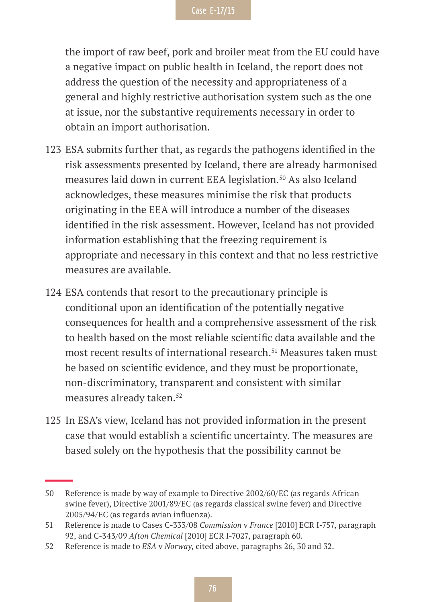the import of raw beef, pork and broiler meat from the EU could have a negative impact on public health in Iceland, the report does not address the question of the necessity and appropriateness of a general and highly restrictive authorisation system such as the one at issue, nor the substantive requirements necessary in order to obtain an import authorisation.

- 123 ESA submits further that, as regards the pathogens identified in the risk assessments presented by Iceland, there are already harmonised measures laid down in current EEA legislation.<sup>50</sup> As also Iceland acknowledges, these measures minimise the risk that products originating in the EEA will introduce a number of the diseases identified in the risk assessment. However, Iceland has not provided information establishing that the freezing requirement is appropriate and necessary in this context and that no less restrictive measures are available.
- 124 ESA contends that resort to the precautionary principle is conditional upon an identification of the potentially negative consequences for health and a comprehensive assessment of the risk to health based on the most reliable scientific data available and the most recent results of international research.<sup>51</sup> Measures taken must be based on scientific evidence, and they must be proportionate, non-discriminatory, transparent and consistent with similar measures already taken.<sup>52</sup>
- 125 In ESA's view, Iceland has not provided information in the present case that would establish a scientific uncertainty. The measures are based solely on the hypothesis that the possibility cannot be

<sup>50</sup> Reference is made by way of example to Directive 2002/60/EC (as regards African swine fever), Directive 2001/89/EC (as regards classical swine fever) and Directive 2005/94/EC (as regards avian influenza).

<sup>51</sup> Reference is made to Cases C-333/08 *Commission* v *France* [2010] ECR I-757, paragraph 92, and C-343/09 *Afton Chemical* [2010] ECR I-7027, paragraph 60.

<sup>52</sup> Reference is made to *ESA* v *Norway*, cited above, paragraphs 26, 30 and 32.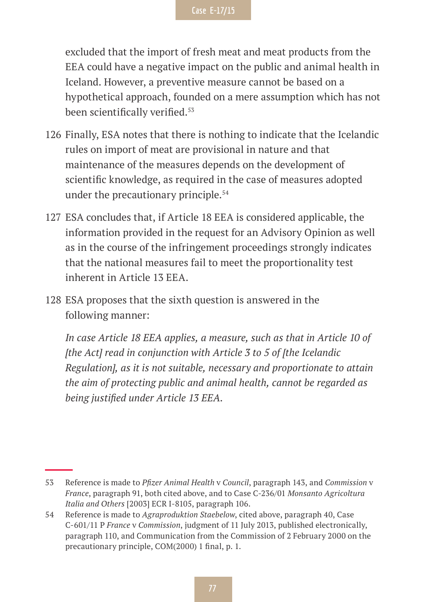excluded that the import of fresh meat and meat products from the EEA could have a negative impact on the public and animal health in Iceland. However, a preventive measure cannot be based on a hypothetical approach, founded on a mere assumption which has not been scientifically verified.<sup>53</sup>

- 126 Finally, ESA notes that there is nothing to indicate that the Icelandic rules on import of meat are provisional in nature and that maintenance of the measures depends on the development of scientific knowledge, as required in the case of measures adopted under the precautionary principle.<sup>54</sup>
- 127 ESA concludes that, if Article 18 EEA is considered applicable, the information provided in the request for an Advisory Opinion as well as in the course of the infringement proceedings strongly indicates that the national measures fail to meet the proportionality test inherent in Article 13 EEA.
- 128 ESA proposes that the sixth question is answered in the following manner:

*In case Article 18 EEA applies, a measure, such as that in Article 10 of [the Act] read in conjunction with Article 3 to 5 of [the Icelandic Regulation], as it is not suitable, necessary and proportionate to attain the aim of protecting public and animal health, cannot be regarded as being justified under Article 13 EEA.*

<sup>53</sup> Reference is made to *Pfizer Animal Health* v *Council*, paragraph 143, and *Commission* v *France*, paragraph 91, both cited above, and to Case C-236/01 *Monsanto Agricoltura Italia and Others* [2003] ECR I-8105, paragraph 106.

<sup>54</sup> Reference is made to *Agraproduktion Staebelow*, cited above, paragraph 40, Case C-601/11 P *France* v *Commission*, judgment of 11 July 2013, published electronically, paragraph 110, and Communication from the Commission of 2 February 2000 on the precautionary principle, COM(2000) 1 final, p. 1.